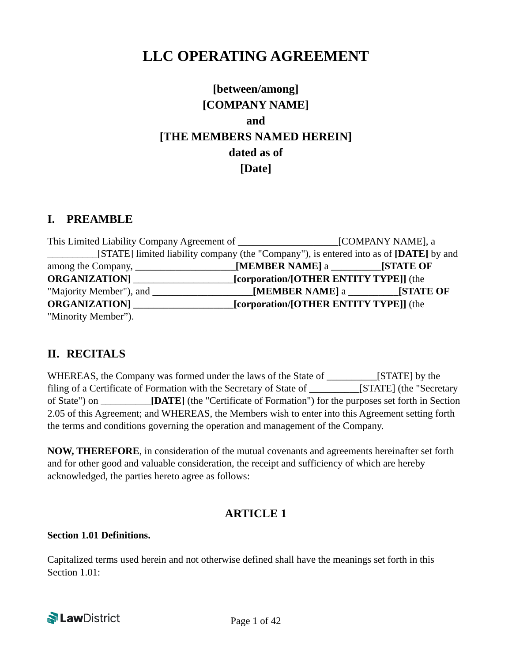# **LLC OPERATING AGREEMENT**

# **[between/among] [COMPANY NAME] and [THE MEMBERS NAMED HEREIN] dated as of [Date]**

### **I. PREAMBLE**

| [STATE] limited liability company (the "Company"), is entered into as of [DATE] by and |                                        |  |
|----------------------------------------------------------------------------------------|----------------------------------------|--|
|                                                                                        |                                        |  |
| <b>ORGANIZATION</b> [ <i>Corporation</i> /[OTHER ENTITY TYPE]] (the                    |                                        |  |
|                                                                                        |                                        |  |
| <b>ORGANIZATION</b>                                                                    | [corporation/[OTHER ENTITY TYPE]] (the |  |
| "Minority Member").                                                                    |                                        |  |

### **II. RECITALS**

WHEREAS, the Company was formed under the laws of the State of \_\_\_\_\_\_\_\_\_\_[STATE] by the filing of a Certificate of Formation with the Secretary of State of \_\_\_\_\_\_\_\_\_\_[STATE] (the "Secretary of State") on \_\_\_\_\_\_\_\_\_\_**[DATE]** (the "Certificate of Formation") for the purposes set forth in Section 2.05 of this Agreement; and WHEREAS, the Members wish to enter into this Agreement setting forth the terms and conditions governing the operation and management of the Company.

**NOW, THEREFORE**, in consideration of the mutual covenants and agreements hereinafter set forth and for other good and valuable consideration, the receipt and sufficiency of which are hereby acknowledged, the parties hereto agree as follows:

### **ARTICLE 1**

#### **Section 1.01 Definitions.**

Capitalized terms used herein and not otherwise defined shall have the meanings set forth in this Section 1.01:

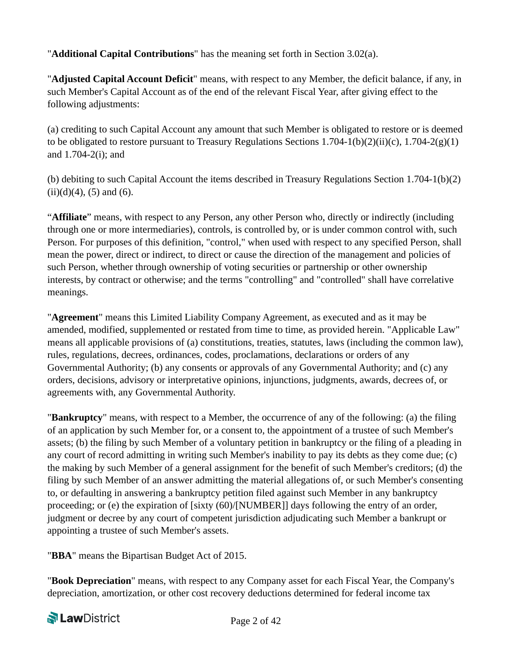"**Additional Capital Contributions**" has the meaning set forth in Section 3.02(a).

"**Adjusted Capital Account Deficit**" means, with respect to any Member, the deficit balance, if any, in such Member's Capital Account as of the end of the relevant Fiscal Year, after giving effect to the following adjustments:

(a) crediting to such Capital Account any amount that such Member is obligated to restore or is deemed to be obligated to restore pursuant to Treasury Regulations Sections 1.704-1(b)(2)(ii)(c), 1.704-2(g)(1) and 1.704-2(i); and

(b) debiting to such Capital Account the items described in Treasury Regulations Section 1.704-1(b)(2)  $(ii)(d)(4)$ ,  $(5)$  and  $(6)$ .

"**Affiliate**" means, with respect to any Person, any other Person who, directly or indirectly (including through one or more intermediaries), controls, is controlled by, or is under common control with, such Person. For purposes of this definition, "control," when used with respect to any specified Person, shall mean the power, direct or indirect, to direct or cause the direction of the management and policies of such Person, whether through ownership of voting securities or partnership or other ownership interests, by contract or otherwise; and the terms "controlling" and "controlled" shall have correlative meanings.

"**Agreement**" means this Limited Liability Company Agreement, as executed and as it may be amended, modified, supplemented or restated from time to time, as provided herein. "Applicable Law" means all applicable provisions of (a) constitutions, treaties, statutes, laws (including the common law), rules, regulations, decrees, ordinances, codes, proclamations, declarations or orders of any Governmental Authority; (b) any consents or approvals of any Governmental Authority; and (c) any orders, decisions, advisory or interpretative opinions, injunctions, judgments, awards, decrees of, or agreements with, any Governmental Authority.

"**Bankruptcy**" means, with respect to a Member, the occurrence of any of the following: (a) the filing of an application by such Member for, or a consent to, the appointment of a trustee of such Member's assets; (b) the filing by such Member of a voluntary petition in bankruptcy or the filing of a pleading in any court of record admitting in writing such Member's inability to pay its debts as they come due; (c) the making by such Member of a general assignment for the benefit of such Member's creditors; (d) the filing by such Member of an answer admitting the material allegations of, or such Member's consenting to, or defaulting in answering a bankruptcy petition filed against such Member in any bankruptcy proceeding; or (e) the expiration of [sixty (60)/[NUMBER]] days following the entry of an order, judgment or decree by any court of competent jurisdiction adjudicating such Member a bankrupt or appointing a trustee of such Member's assets.

"**BBA**" means the Bipartisan Budget Act of 2015.

"**Book Depreciation**" means, with respect to any Company asset for each Fiscal Year, the Company's depreciation, amortization, or other cost recovery deductions determined for federal income tax

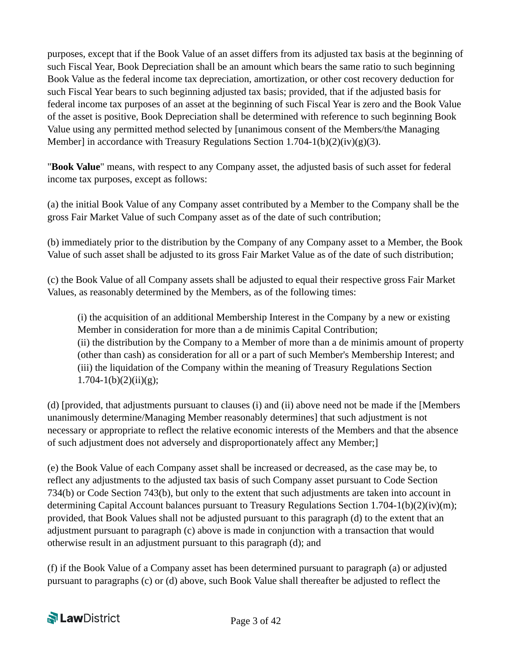purposes, except that if the Book Value of an asset differs from its adjusted tax basis at the beginning of such Fiscal Year, Book Depreciation shall be an amount which bears the same ratio to such beginning Book Value as the federal income tax depreciation, amortization, or other cost recovery deduction for such Fiscal Year bears to such beginning adjusted tax basis; provided, that if the adjusted basis for federal income tax purposes of an asset at the beginning of such Fiscal Year is zero and the Book Value of the asset is positive, Book Depreciation shall be determined with reference to such beginning Book Value using any permitted method selected by [unanimous consent of the Members/the Managing Member] in accordance with Treasury Regulations Section  $1.704 - 1(b)(2)(iv)(g)(3)$ .

"**Book Value**" means, with respect to any Company asset, the adjusted basis of such asset for federal income tax purposes, except as follows:

(a) the initial Book Value of any Company asset contributed by a Member to the Company shall be the gross Fair Market Value of such Company asset as of the date of such contribution;

(b) immediately prior to the distribution by the Company of any Company asset to a Member, the Book Value of such asset shall be adjusted to its gross Fair Market Value as of the date of such distribution;

(c) the Book Value of all Company assets shall be adjusted to equal their respective gross Fair Market Values, as reasonably determined by the Members, as of the following times:

(i) the acquisition of an additional Membership Interest in the Company by a new or existing Member in consideration for more than a de minimis Capital Contribution; (ii) the distribution by the Company to a Member of more than a de minimis amount of property (other than cash) as consideration for all or a part of such Member's Membership Interest; and (iii) the liquidation of the Company within the meaning of Treasury Regulations Section  $1.704 - 1(b)(2)(ii)(g);$ 

(d) [provided, that adjustments pursuant to clauses (i) and (ii) above need not be made if the [Members unanimously determine/Managing Member reasonably determines] that such adjustment is not necessary or appropriate to reflect the relative economic interests of the Members and that the absence of such adjustment does not adversely and disproportionately affect any Member;]

(e) the Book Value of each Company asset shall be increased or decreased, as the case may be, to reflect any adjustments to the adjusted tax basis of such Company asset pursuant to Code Section 734(b) or Code Section 743(b), but only to the extent that such adjustments are taken into account in determining Capital Account balances pursuant to Treasury Regulations Section 1.704-1(b)(2)(iv)(m); provided, that Book Values shall not be adjusted pursuant to this paragraph (d) to the extent that an adjustment pursuant to paragraph (c) above is made in conjunction with a transaction that would otherwise result in an adjustment pursuant to this paragraph (d); and

(f) if the Book Value of a Company asset has been determined pursuant to paragraph (a) or adjusted pursuant to paragraphs (c) or (d) above, such Book Value shall thereafter be adjusted to reflect the

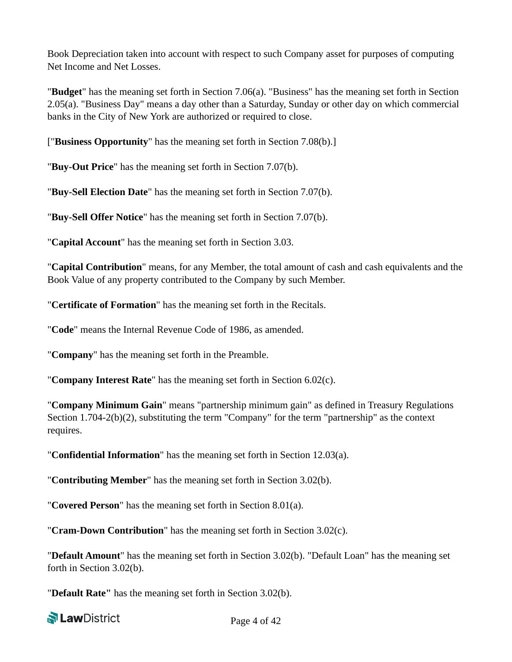Book Depreciation taken into account with respect to such Company asset for purposes of computing Net Income and Net Losses.

"**Budget**" has the meaning set forth in Section 7.06(a). "Business" has the meaning set forth in Section 2.05(a). "Business Day" means a day other than a Saturday, Sunday or other day on which commercial banks in the City of New York are authorized or required to close.

["**Business Opportunity**" has the meaning set forth in Section 7.08(b).]

"**Buy-Out Price**" has the meaning set forth in Section 7.07(b).

"**Buy-Sell Election Date**" has the meaning set forth in Section 7.07(b).

"**Buy-Sell Offer Notice**" has the meaning set forth in Section 7.07(b).

"**Capital Account**" has the meaning set forth in Section 3.03.

"**Capital Contribution**" means, for any Member, the total amount of cash and cash equivalents and the Book Value of any property contributed to the Company by such Member.

"**Certificate of Formation**" has the meaning set forth in the Recitals.

"**Code**" means the Internal Revenue Code of 1986, as amended.

"**Company**" has the meaning set forth in the Preamble.

"**Company Interest Rate**" has the meaning set forth in Section 6.02(c).

"**Company Minimum Gain**" means "partnership minimum gain" as defined in Treasury Regulations Section 1.704-2(b)(2), substituting the term "Company" for the term "partnership" as the context requires.

"**Confidential Information**" has the meaning set forth in Section 12.03(a).

"**Contributing Member**" has the meaning set forth in Section 3.02(b).

"**Covered Person**" has the meaning set forth in Section 8.01(a).

"**Cram-Down Contribution**" has the meaning set forth in Section 3.02(c).

"**Default Amount**" has the meaning set forth in Section 3.02(b). "Default Loan" has the meaning set forth in Section 3.02(b).

"**Default Rate"** has the meaning set forth in Section 3.02(b).

**Net Law District**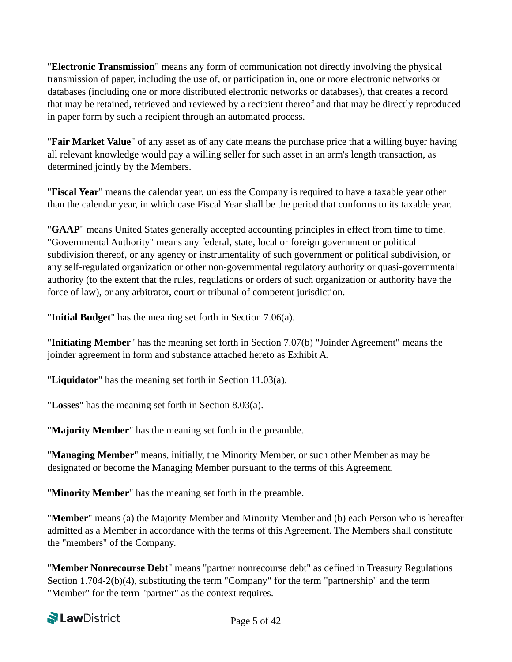"**Electronic Transmission**" means any form of communication not directly involving the physical transmission of paper, including the use of, or participation in, one or more electronic networks or databases (including one or more distributed electronic networks or databases), that creates a record that may be retained, retrieved and reviewed by a recipient thereof and that may be directly reproduced in paper form by such a recipient through an automated process.

"**Fair Market Value**" of any asset as of any date means the purchase price that a willing buyer having all relevant knowledge would pay a willing seller for such asset in an arm's length transaction, as determined jointly by the Members.

"**Fiscal Year**" means the calendar year, unless the Company is required to have a taxable year other than the calendar year, in which case Fiscal Year shall be the period that conforms to its taxable year.

"**GAAP**" means United States generally accepted accounting principles in effect from time to time. "Governmental Authority" means any federal, state, local or foreign government or political subdivision thereof, or any agency or instrumentality of such government or political subdivision, or any self-regulated organization or other non-governmental regulatory authority or quasi-governmental authority (to the extent that the rules, regulations or orders of such organization or authority have the force of law), or any arbitrator, court or tribunal of competent jurisdiction.

"**Initial Budget**" has the meaning set forth in Section 7.06(a).

"**Initiating Member**" has the meaning set forth in Section 7.07(b) "Joinder Agreement" means the joinder agreement in form and substance attached hereto as Exhibit A.

"**Liquidator**" has the meaning set forth in Section 11.03(a).

"**Losses**" has the meaning set forth in Section 8.03(a).

"**Majority Member**" has the meaning set forth in the preamble.

"**Managing Member**" means, initially, the Minority Member, or such other Member as may be designated or become the Managing Member pursuant to the terms of this Agreement.

"**Minority Member**" has the meaning set forth in the preamble.

"**Member**" means (a) the Majority Member and Minority Member and (b) each Person who is hereafter admitted as a Member in accordance with the terms of this Agreement. The Members shall constitute the "members" of the Company.

"**Member Nonrecourse Debt**" means "partner nonrecourse debt" as defined in Treasury Regulations Section 1.704-2(b)(4), substituting the term "Company" for the term "partnership" and the term "Member" for the term "partner" as the context requires.

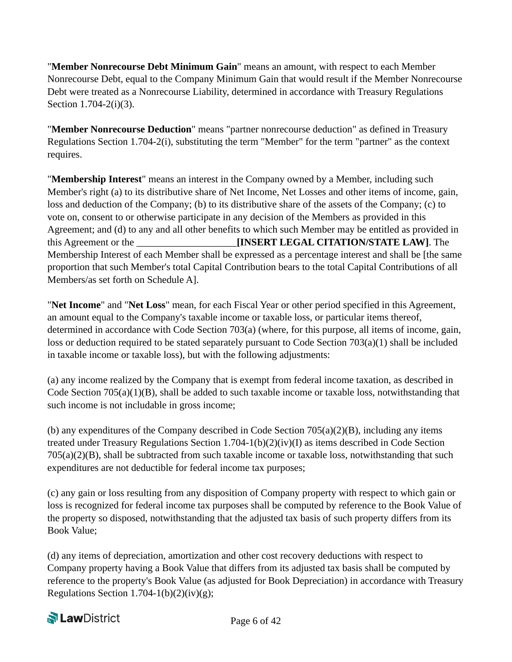"**Member Nonrecourse Debt Minimum Gain**" means an amount, with respect to each Member Nonrecourse Debt, equal to the Company Minimum Gain that would result if the Member Nonrecourse Debt were treated as a Nonrecourse Liability, determined in accordance with Treasury Regulations Section 1.704-2(i)(3).

"**Member Nonrecourse Deduction**" means "partner nonrecourse deduction" as defined in Treasury Regulations Section 1.704-2(i), substituting the term "Member" for the term "partner" as the context requires.

"**Membership Interest**" means an interest in the Company owned by a Member, including such Member's right (a) to its distributive share of Net Income, Net Losses and other items of income, gain, loss and deduction of the Company; (b) to its distributive share of the assets of the Company; (c) to vote on, consent to or otherwise participate in any decision of the Members as provided in this Agreement; and (d) to any and all other benefits to which such Member may be entitled as provided in this Agreement or the **EXECUTERT LEGAL CITATION/STATE LAW**]. The Membership Interest of each Member shall be expressed as a percentage interest and shall be [the same proportion that such Member's total Capital Contribution bears to the total Capital Contributions of all Members/as set forth on Schedule A].

"**Net Income**" and "**Net Loss**" mean, for each Fiscal Year or other period specified in this Agreement, an amount equal to the Company's taxable income or taxable loss, or particular items thereof, determined in accordance with Code Section 703(a) (where, for this purpose, all items of income, gain, loss or deduction required to be stated separately pursuant to Code Section 703(a)(1) shall be included in taxable income or taxable loss), but with the following adjustments:

(a) any income realized by the Company that is exempt from federal income taxation, as described in Code Section  $705(a)(1)(B)$ , shall be added to such taxable income or taxable loss, notwithstanding that such income is not includable in gross income;

(b) any expenditures of the Company described in Code Section  $705(a)(2)(B)$ , including any items treated under Treasury Regulations Section 1.704-1(b)(2)(iv)(I) as items described in Code Section 705(a)(2)(B), shall be subtracted from such taxable income or taxable loss, notwithstanding that such expenditures are not deductible for federal income tax purposes;

(c) any gain or loss resulting from any disposition of Company property with respect to which gain or loss is recognized for federal income tax purposes shall be computed by reference to the Book Value of the property so disposed, notwithstanding that the adjusted tax basis of such property differs from its Book Value;

(d) any items of depreciation, amortization and other cost recovery deductions with respect to Company property having a Book Value that differs from its adjusted tax basis shall be computed by reference to the property's Book Value (as adjusted for Book Depreciation) in accordance with Treasury Regulations Section 1.704-1(b)(2)(iv)(g);

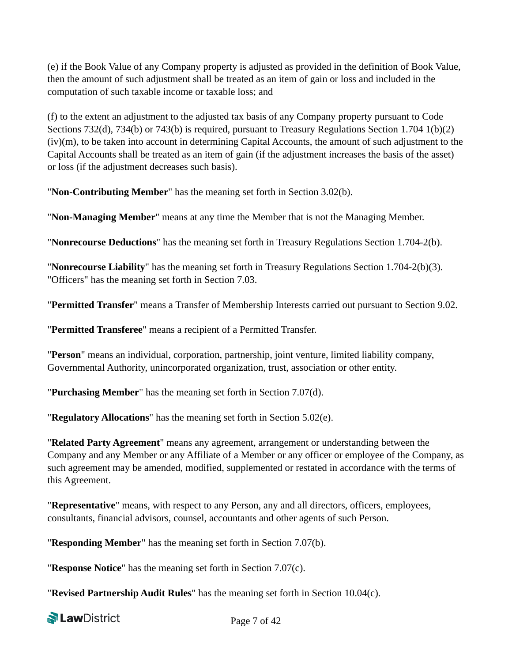(e) if the Book Value of any Company property is adjusted as provided in the definition of Book Value, then the amount of such adjustment shall be treated as an item of gain or loss and included in the computation of such taxable income or taxable loss; and

(f) to the extent an adjustment to the adjusted tax basis of any Company property pursuant to Code Sections 732(d), 734(b) or 743(b) is required, pursuant to Treasury Regulations Section 1.704 1(b)(2) (iv)(m), to be taken into account in determining Capital Accounts, the amount of such adjustment to the Capital Accounts shall be treated as an item of gain (if the adjustment increases the basis of the asset) or loss (if the adjustment decreases such basis).

"**Non-Contributing Member**" has the meaning set forth in Section 3.02(b).

"**Non-Managing Member**" means at any time the Member that is not the Managing Member.

"**Nonrecourse Deductions**" has the meaning set forth in Treasury Regulations Section 1.704-2(b).

"**Nonrecourse Liability**" has the meaning set forth in Treasury Regulations Section 1.704-2(b)(3). "Officers" has the meaning set forth in Section 7.03.

"**Permitted Transfer**" means a Transfer of Membership Interests carried out pursuant to Section 9.02.

"**Permitted Transferee**" means a recipient of a Permitted Transfer.

"**Person**" means an individual, corporation, partnership, joint venture, limited liability company, Governmental Authority, unincorporated organization, trust, association or other entity.

"**Purchasing Member**" has the meaning set forth in Section 7.07(d).

"**Regulatory Allocations**" has the meaning set forth in Section 5.02(e).

"**Related Party Agreement**" means any agreement, arrangement or understanding between the Company and any Member or any Affiliate of a Member or any officer or employee of the Company, as such agreement may be amended, modified, supplemented or restated in accordance with the terms of this Agreement.

"**Representative**" means, with respect to any Person, any and all directors, officers, employees, consultants, financial advisors, counsel, accountants and other agents of such Person.

"**Responding Member**" has the meaning set forth in Section 7.07(b).

"**Response Notice**" has the meaning set forth in Section 7.07(c).

"**Revised Partnership Audit Rules**" has the meaning set forth in Section 10.04(c).

**Net Law District**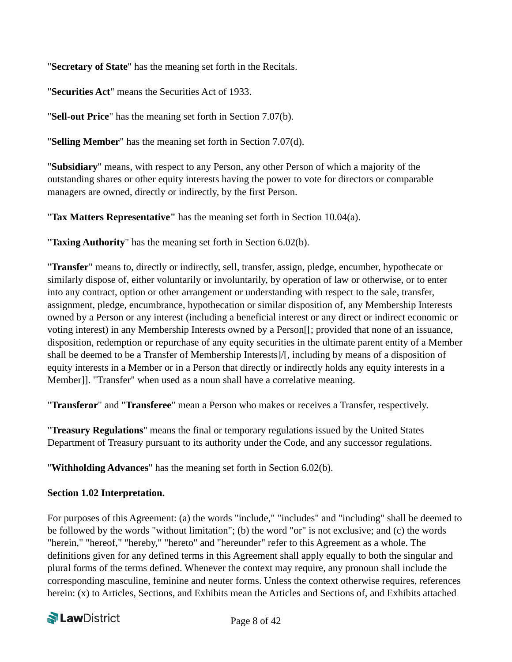"**Secretary of State**" has the meaning set forth in the Recitals.

"**Securities Act**" means the Securities Act of 1933.

"**Sell-out Price**" has the meaning set forth in Section 7.07(b).

"**Selling Member**" has the meaning set forth in Section 7.07(d).

"**Subsidiary**" means, with respect to any Person, any other Person of which a majority of the outstanding shares or other equity interests having the power to vote for directors or comparable managers are owned, directly or indirectly, by the first Person.

"**Tax Matters Representative"** has the meaning set forth in Section 10.04(a).

"**Taxing Authority**" has the meaning set forth in Section 6.02(b).

"**Transfer**" means to, directly or indirectly, sell, transfer, assign, pledge, encumber, hypothecate or similarly dispose of, either voluntarily or involuntarily, by operation of law or otherwise, or to enter into any contract, option or other arrangement or understanding with respect to the sale, transfer, assignment, pledge, encumbrance, hypothecation or similar disposition of, any Membership Interests owned by a Person or any interest (including a beneficial interest or any direct or indirect economic or voting interest) in any Membership Interests owned by a Person[[; provided that none of an issuance, disposition, redemption or repurchase of any equity securities in the ultimate parent entity of a Member shall be deemed to be a Transfer of Membership Interests]/[, including by means of a disposition of equity interests in a Member or in a Person that directly or indirectly holds any equity interests in a Member]]. "Transfer" when used as a noun shall have a correlative meaning.

"**Transferor**" and "**Transferee**" mean a Person who makes or receives a Transfer, respectively.

"**Treasury Regulations**" means the final or temporary regulations issued by the United States Department of Treasury pursuant to its authority under the Code, and any successor regulations.

"**Withholding Advances**" has the meaning set forth in Section 6.02(b).

#### **Section 1.02 Interpretation.**

For purposes of this Agreement: (a) the words "include," "includes" and "including" shall be deemed to be followed by the words "without limitation"; (b) the word "or" is not exclusive; and (c) the words "herein," "hereof," "hereby," "hereto" and "hereunder" refer to this Agreement as a whole. The definitions given for any defined terms in this Agreement shall apply equally to both the singular and plural forms of the terms defined. Whenever the context may require, any pronoun shall include the corresponding masculine, feminine and neuter forms. Unless the context otherwise requires, references herein: (x) to Articles, Sections, and Exhibits mean the Articles and Sections of, and Exhibits attached

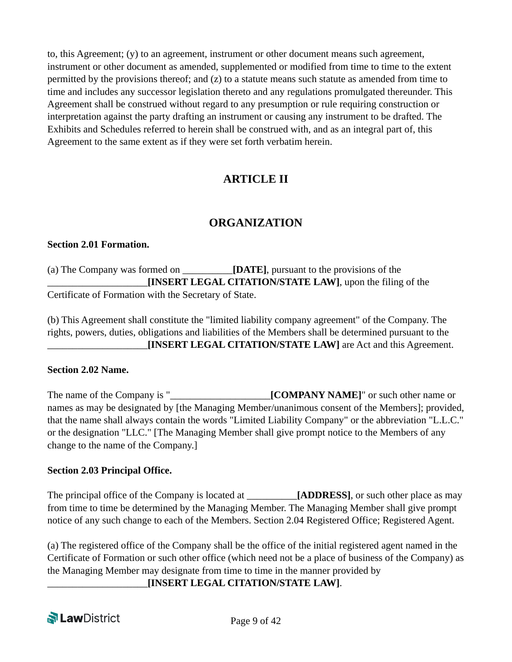to, this Agreement; (y) to an agreement, instrument or other document means such agreement, instrument or other document as amended, supplemented or modified from time to time to the extent permitted by the provisions thereof; and  $(z)$  to a statute means such statute as amended from time to time and includes any successor legislation thereto and any regulations promulgated thereunder. This Agreement shall be construed without regard to any presumption or rule requiring construction or interpretation against the party drafting an instrument or causing any instrument to be drafted. The Exhibits and Schedules referred to herein shall be construed with, and as an integral part of, this Agreement to the same extent as if they were set forth verbatim herein.

## **ARTICLE II**

## **ORGANIZATION**

#### **Section 2.01 Formation.**

(a) The Company was formed on \_\_\_\_\_\_\_\_\_\_**[DATE]**, pursuant to the provisions of the \_\_\_\_\_\_\_\_\_\_\_\_\_\_\_\_\_\_\_\_**[INSERT LEGAL CITATION/STATE LAW]**, upon the filing of the Certificate of Formation with the Secretary of State.

(b) This Agreement shall constitute the "limited liability company agreement" of the Company. The rights, powers, duties, obligations and liabilities of the Members shall be determined pursuant to the \_\_\_\_\_\_\_\_\_\_\_\_\_\_\_\_\_\_\_\_**[INSERT LEGAL CITATION/STATE LAW]** are Act and this Agreement.

#### **Section 2.02 Name.**

The name of the Company is "\_\_\_\_\_\_\_\_\_\_\_\_\_\_\_\_\_\_\_\_**[COMPANY NAME]**" or such other name or names as may be designated by [the Managing Member/unanimous consent of the Members]; provided, that the name shall always contain the words "Limited Liability Company" or the abbreviation "L.L.C." or the designation "LLC." [The Managing Member shall give prompt notice to the Members of any change to the name of the Company.]

#### **Section 2.03 Principal Office.**

The principal office of the Company is located at *\_\_\_\_\_\_\_\_* **[ADDRESS]**, or such other place as may from time to time be determined by the Managing Member. The Managing Member shall give prompt notice of any such change to each of the Members. Section 2.04 Registered Office; Registered Agent.

(a) The registered office of the Company shall be the office of the initial registered agent named in the Certificate of Formation or such other office (which need not be a place of business of the Company) as the Managing Member may designate from time to time in the manner provided by

\_\_\_\_\_\_\_\_\_\_\_\_\_\_\_\_\_\_\_\_**[INSERT LEGAL CITATION/STATE LAW]**.

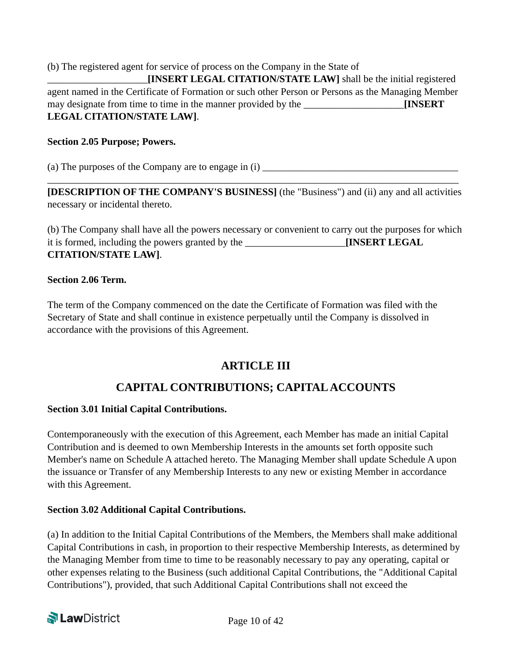(b) The registered agent for service of process on the Company in the State of \_\_\_\_\_\_\_\_\_\_\_\_\_\_\_\_\_\_\_\_**[INSERT LEGAL CITATION/STATE LAW]** shall be the initial registered agent named in the Certificate of Formation or such other Person or Persons as the Managing Member may designate from time to time in the manner provided by the \_\_\_\_\_\_\_\_\_\_\_\_\_\_\_\_\_\_\_\_**[INSERT LEGAL CITATION/STATE LAW]**.

#### **Section 2.05 Purpose; Powers.**

(a) The purposes of the Company are to engage in  $(i)$ 

**[DESCRIPTION OF THE COMPANY'S BUSINESS]** (the "Business") and (ii) any and all activities necessary or incidental thereto.

\_\_\_\_\_\_\_\_\_\_\_\_\_\_\_\_\_\_\_\_\_\_\_\_\_\_\_\_\_\_\_\_\_\_\_\_\_\_\_\_\_\_\_\_\_\_\_\_\_\_\_\_\_\_\_\_\_\_\_\_\_\_\_\_\_\_\_\_\_\_\_\_\_\_\_\_\_\_\_\_\_\_

(b) The Company shall have all the powers necessary or convenient to carry out the purposes for which it is formed, including the powers granted by the \_\_\_\_\_\_\_\_\_\_\_\_\_\_\_\_\_\_\_\_**[INSERT LEGAL CITATION/STATE LAW]**.

#### **Section 2.06 Term.**

The term of the Company commenced on the date the Certificate of Formation was filed with the Secretary of State and shall continue in existence perpetually until the Company is dissolved in accordance with the provisions of this Agreement.

## **ARTICLE III**

## **CAPITAL CONTRIBUTIONS; CAPITAL ACCOUNTS**

#### **Section 3.01 Initial Capital Contributions.**

Contemporaneously with the execution of this Agreement, each Member has made an initial Capital Contribution and is deemed to own Membership Interests in the amounts set forth opposite such Member's name on Schedule A attached hereto. The Managing Member shall update Schedule A upon the issuance or Transfer of any Membership Interests to any new or existing Member in accordance with this Agreement.

#### **Section 3.02 Additional Capital Contributions.**

(a) In addition to the Initial Capital Contributions of the Members, the Members shall make additional Capital Contributions in cash, in proportion to their respective Membership Interests, as determined by the Managing Member from time to time to be reasonably necessary to pay any operating, capital or other expenses relating to the Business (such additional Capital Contributions, the "Additional Capital Contributions"), provided, that such Additional Capital Contributions shall not exceed the

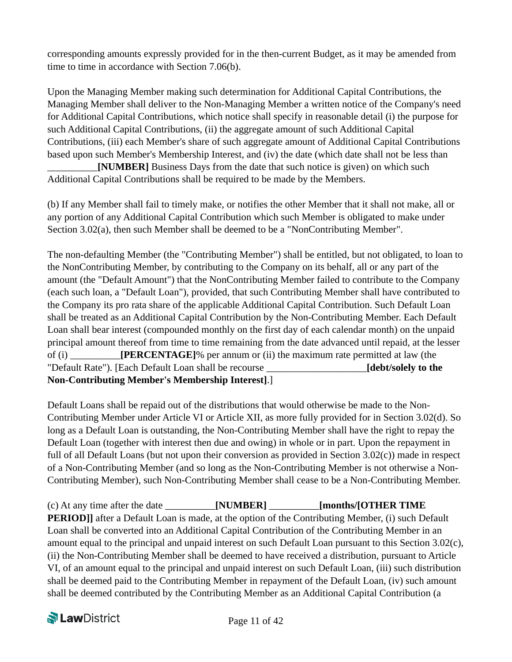corresponding amounts expressly provided for in the then-current Budget, as it may be amended from time to time in accordance with Section 7.06(b).

Upon the Managing Member making such determination for Additional Capital Contributions, the Managing Member shall deliver to the Non-Managing Member a written notice of the Company's need for Additional Capital Contributions, which notice shall specify in reasonable detail (i) the purpose for such Additional Capital Contributions, (ii) the aggregate amount of such Additional Capital Contributions, (iii) each Member's share of such aggregate amount of Additional Capital Contributions based upon such Member's Membership Interest, and (iv) the date (which date shall not be less than

**[NUMBER]** Business Days from the date that such notice is given) on which such Additional Capital Contributions shall be required to be made by the Members.

(b) If any Member shall fail to timely make, or notifies the other Member that it shall not make, all or any portion of any Additional Capital Contribution which such Member is obligated to make under Section 3.02(a), then such Member shall be deemed to be a "NonContributing Member".

The non-defaulting Member (the "Contributing Member") shall be entitled, but not obligated, to loan to the NonContributing Member, by contributing to the Company on its behalf, all or any part of the amount (the "Default Amount") that the NonContributing Member failed to contribute to the Company (each such loan, a "Default Loan"), provided, that such Contributing Member shall have contributed to the Company its pro rata share of the applicable Additional Capital Contribution. Such Default Loan shall be treated as an Additional Capital Contribution by the Non-Contributing Member. Each Default Loan shall bear interest (compounded monthly on the first day of each calendar month) on the unpaid principal amount thereof from time to time remaining from the date advanced until repaid, at the lesser of (i) \_\_\_\_\_\_\_\_\_\_**[PERCENTAGE]**% per annum or (ii) the maximum rate permitted at law (the "Default Rate"). [Each Default Loan shall be recourse \_\_\_\_\_\_\_\_\_\_\_\_\_\_\_\_\_\_\_\_**[debt/solely to the Non-Contributing Member's Membership Interest]**.]

Default Loans shall be repaid out of the distributions that would otherwise be made to the Non-Contributing Member under Article VI or Article XII, as more fully provided for in Section 3.02(d). So long as a Default Loan is outstanding, the Non-Contributing Member shall have the right to repay the Default Loan (together with interest then due and owing) in whole or in part. Upon the repayment in full of all Default Loans (but not upon their conversion as provided in Section 3.02(c)) made in respect of a Non-Contributing Member (and so long as the Non-Contributing Member is not otherwise a Non-Contributing Member), such Non-Contributing Member shall cease to be a Non-Contributing Member.

(c) At any time after the date \_\_\_\_\_\_\_\_\_\_**[NUMBER]** \_\_\_\_\_\_\_\_\_\_**[months/[OTHER TIME PERIOD]** after a Default Loan is made, at the option of the Contributing Member, (i) such Default Loan shall be converted into an Additional Capital Contribution of the Contributing Member in an amount equal to the principal and unpaid interest on such Default Loan pursuant to this Section 3.02(c), (ii) the Non-Contributing Member shall be deemed to have received a distribution, pursuant to Article VI, of an amount equal to the principal and unpaid interest on such Default Loan, (iii) such distribution shall be deemed paid to the Contributing Member in repayment of the Default Loan, (iv) such amount shall be deemed contributed by the Contributing Member as an Additional Capital Contribution (a

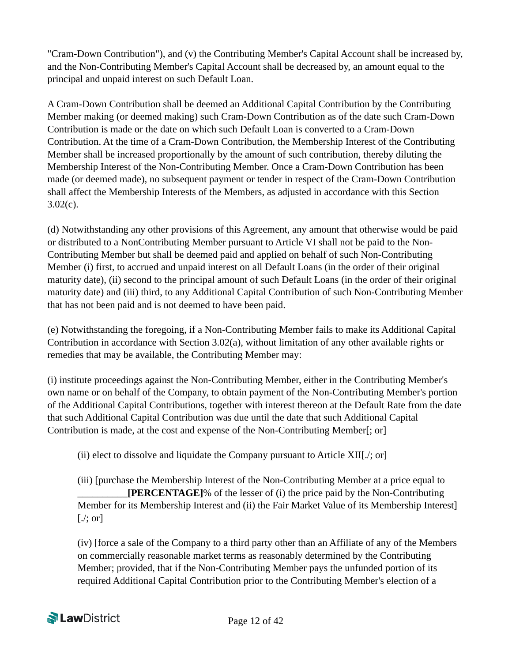"Cram-Down Contribution"), and (v) the Contributing Member's Capital Account shall be increased by, and the Non-Contributing Member's Capital Account shall be decreased by, an amount equal to the principal and unpaid interest on such Default Loan.

A Cram-Down Contribution shall be deemed an Additional Capital Contribution by the Contributing Member making (or deemed making) such Cram-Down Contribution as of the date such Cram-Down Contribution is made or the date on which such Default Loan is converted to a Cram-Down Contribution. At the time of a Cram-Down Contribution, the Membership Interest of the Contributing Member shall be increased proportionally by the amount of such contribution, thereby diluting the Membership Interest of the Non-Contributing Member. Once a Cram-Down Contribution has been made (or deemed made), no subsequent payment or tender in respect of the Cram-Down Contribution shall affect the Membership Interests of the Members, as adjusted in accordance with this Section  $3.02(c)$ .

(d) Notwithstanding any other provisions of this Agreement, any amount that otherwise would be paid or distributed to a NonContributing Member pursuant to Article VI shall not be paid to the Non-Contributing Member but shall be deemed paid and applied on behalf of such Non-Contributing Member (i) first, to accrued and unpaid interest on all Default Loans (in the order of their original maturity date), (ii) second to the principal amount of such Default Loans (in the order of their original maturity date) and (iii) third, to any Additional Capital Contribution of such Non-Contributing Member that has not been paid and is not deemed to have been paid.

(e) Notwithstanding the foregoing, if a Non-Contributing Member fails to make its Additional Capital Contribution in accordance with Section 3.02(a), without limitation of any other available rights or remedies that may be available, the Contributing Member may:

(i) institute proceedings against the Non-Contributing Member, either in the Contributing Member's own name or on behalf of the Company, to obtain payment of the Non-Contributing Member's portion of the Additional Capital Contributions, together with interest thereon at the Default Rate from the date that such Additional Capital Contribution was due until the date that such Additional Capital Contribution is made, at the cost and expense of the Non-Contributing Member[; or]

(ii) elect to dissolve and liquidate the Company pursuant to Article XII[./; or]

(iii) [purchase the Membership Interest of the Non-Contributing Member at a price equal to \_\_\_\_\_\_\_\_\_\_**[PERCENTAGE]**% of the lesser of (i) the price paid by the Non-Contributing Member for its Membership Interest and (ii) the Fair Market Value of its Membership Interest]  $[\cdot]$ ; or

(iv) [force a sale of the Company to a third party other than an Affiliate of any of the Members on commercially reasonable market terms as reasonably determined by the Contributing Member; provided, that if the Non-Contributing Member pays the unfunded portion of its required Additional Capital Contribution prior to the Contributing Member's election of a

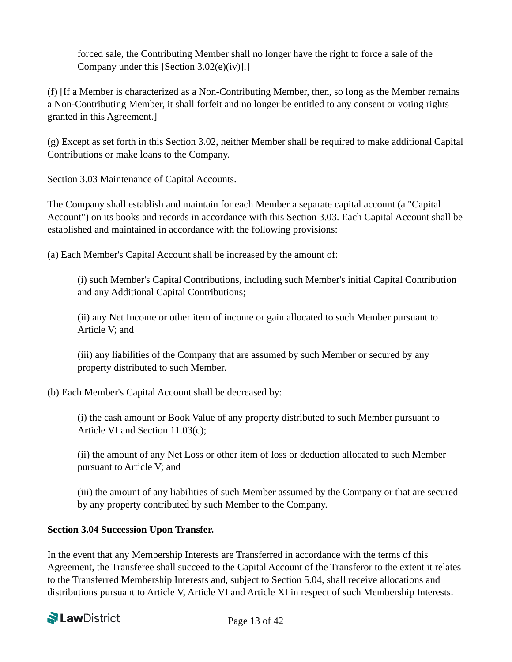forced sale, the Contributing Member shall no longer have the right to force a sale of the Company under this [Section 3.02(e)(iv)].]

(f) [If a Member is characterized as a Non-Contributing Member, then, so long as the Member remains a Non-Contributing Member, it shall forfeit and no longer be entitled to any consent or voting rights granted in this Agreement.]

(g) Except as set forth in this Section 3.02, neither Member shall be required to make additional Capital Contributions or make loans to the Company.

Section 3.03 Maintenance of Capital Accounts.

The Company shall establish and maintain for each Member a separate capital account (a "Capital Account") on its books and records in accordance with this Section 3.03. Each Capital Account shall be established and maintained in accordance with the following provisions:

(a) Each Member's Capital Account shall be increased by the amount of:

(i) such Member's Capital Contributions, including such Member's initial Capital Contribution and any Additional Capital Contributions;

(ii) any Net Income or other item of income or gain allocated to such Member pursuant to Article V; and

(iii) any liabilities of the Company that are assumed by such Member or secured by any property distributed to such Member.

(b) Each Member's Capital Account shall be decreased by:

(i) the cash amount or Book Value of any property distributed to such Member pursuant to Article VI and Section 11.03(c);

(ii) the amount of any Net Loss or other item of loss or deduction allocated to such Member pursuant to Article V; and

(iii) the amount of any liabilities of such Member assumed by the Company or that are secured by any property contributed by such Member to the Company.

#### **Section 3.04 Succession Upon Transfer.**

In the event that any Membership Interests are Transferred in accordance with the terms of this Agreement, the Transferee shall succeed to the Capital Account of the Transferor to the extent it relates to the Transferred Membership Interests and, subject to Section 5.04, shall receive allocations and distributions pursuant to Article V, Article VI and Article XI in respect of such Membership Interests.

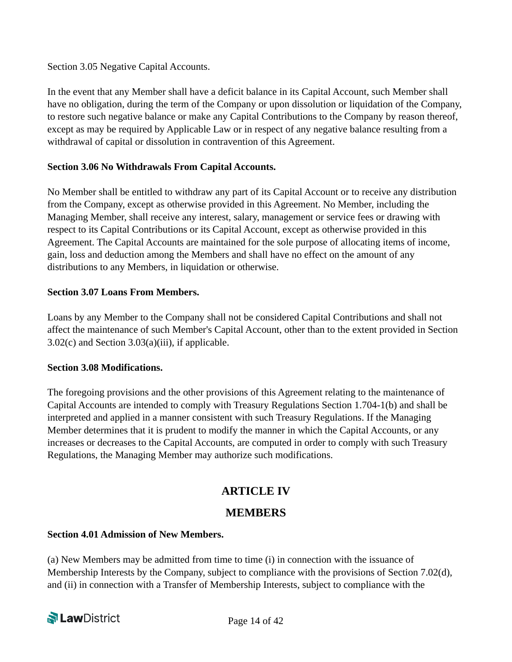Section 3.05 Negative Capital Accounts.

In the event that any Member shall have a deficit balance in its Capital Account, such Member shall have no obligation, during the term of the Company or upon dissolution or liquidation of the Company, to restore such negative balance or make any Capital Contributions to the Company by reason thereof, except as may be required by Applicable Law or in respect of any negative balance resulting from a withdrawal of capital or dissolution in contravention of this Agreement.

#### **Section 3.06 No Withdrawals From Capital Accounts.**

No Member shall be entitled to withdraw any part of its Capital Account or to receive any distribution from the Company, except as otherwise provided in this Agreement. No Member, including the Managing Member, shall receive any interest, salary, management or service fees or drawing with respect to its Capital Contributions or its Capital Account, except as otherwise provided in this Agreement. The Capital Accounts are maintained for the sole purpose of allocating items of income, gain, loss and deduction among the Members and shall have no effect on the amount of any distributions to any Members, in liquidation or otherwise.

#### **Section 3.07 Loans From Members.**

Loans by any Member to the Company shall not be considered Capital Contributions and shall not affect the maintenance of such Member's Capital Account, other than to the extent provided in Section 3.02(c) and Section 3.03(a)(iii), if applicable.

#### **Section 3.08 Modifications.**

The foregoing provisions and the other provisions of this Agreement relating to the maintenance of Capital Accounts are intended to comply with Treasury Regulations Section 1.704-1(b) and shall be interpreted and applied in a manner consistent with such Treasury Regulations. If the Managing Member determines that it is prudent to modify the manner in which the Capital Accounts, or any increases or decreases to the Capital Accounts, are computed in order to comply with such Treasury Regulations, the Managing Member may authorize such modifications.

### **ARTICLE IV**

#### **MEMBERS**

#### **Section 4.01 Admission of New Members.**

(a) New Members may be admitted from time to time (i) in connection with the issuance of Membership Interests by the Company, subject to compliance with the provisions of Section 7.02(d), and (ii) in connection with a Transfer of Membership Interests, subject to compliance with the

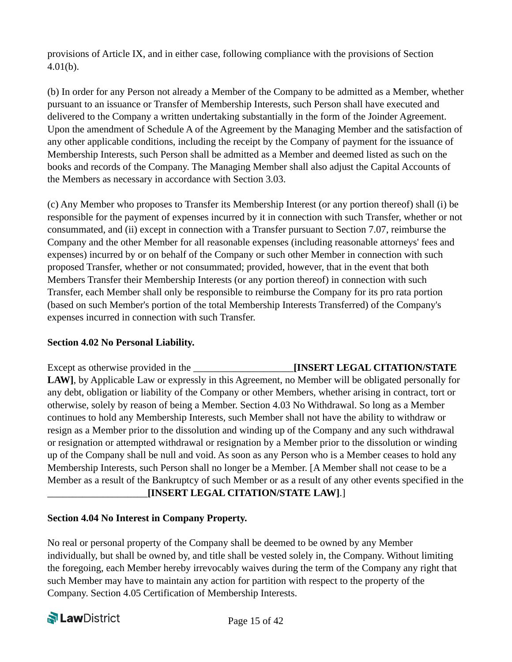provisions of Article IX, and in either case, following compliance with the provisions of Section 4.01(b).

(b) In order for any Person not already a Member of the Company to be admitted as a Member, whether pursuant to an issuance or Transfer of Membership Interests, such Person shall have executed and delivered to the Company a written undertaking substantially in the form of the Joinder Agreement. Upon the amendment of Schedule A of the Agreement by the Managing Member and the satisfaction of any other applicable conditions, including the receipt by the Company of payment for the issuance of Membership Interests, such Person shall be admitted as a Member and deemed listed as such on the books and records of the Company. The Managing Member shall also adjust the Capital Accounts of the Members as necessary in accordance with Section 3.03.

(c) Any Member who proposes to Transfer its Membership Interest (or any portion thereof) shall (i) be responsible for the payment of expenses incurred by it in connection with such Transfer, whether or not consummated, and (ii) except in connection with a Transfer pursuant to Section 7.07, reimburse the Company and the other Member for all reasonable expenses (including reasonable attorneys' fees and expenses) incurred by or on behalf of the Company or such other Member in connection with such proposed Transfer, whether or not consummated; provided, however, that in the event that both Members Transfer their Membership Interests (or any portion thereof) in connection with such Transfer, each Member shall only be responsible to reimburse the Company for its pro rata portion (based on such Member's portion of the total Membership Interests Transferred) of the Company's expenses incurred in connection with such Transfer.

#### **Section 4.02 No Personal Liability.**

Except as otherwise provided in the \_\_\_\_\_\_\_\_\_\_\_\_\_\_\_\_\_\_\_\_**[INSERT LEGAL CITATION/STATE LAW]**, by Applicable Law or expressly in this Agreement, no Member will be obligated personally for any debt, obligation or liability of the Company or other Members, whether arising in contract, tort or otherwise, solely by reason of being a Member. Section 4.03 No Withdrawal. So long as a Member continues to hold any Membership Interests, such Member shall not have the ability to withdraw or resign as a Member prior to the dissolution and winding up of the Company and any such withdrawal or resignation or attempted withdrawal or resignation by a Member prior to the dissolution or winding up of the Company shall be null and void. As soon as any Person who is a Member ceases to hold any Membership Interests, such Person shall no longer be a Member. [A Member shall not cease to be a Member as a result of the Bankruptcy of such Member or as a result of any other events specified in the \_\_\_\_\_\_\_\_\_\_\_\_\_\_\_\_\_\_\_\_**[INSERT LEGAL CITATION/STATE LAW]**.]

#### **Section 4.04 No Interest in Company Property.**

No real or personal property of the Company shall be deemed to be owned by any Member individually, but shall be owned by, and title shall be vested solely in, the Company. Without limiting the foregoing, each Member hereby irrevocably waives during the term of the Company any right that such Member may have to maintain any action for partition with respect to the property of the Company. Section 4.05 Certification of Membership Interests.

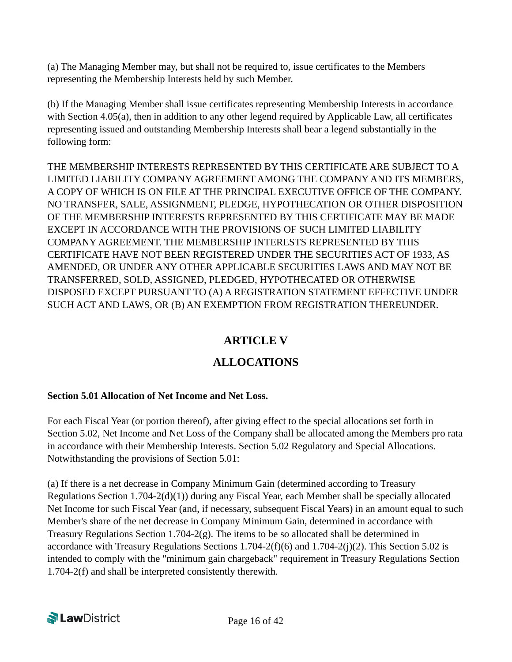(a) The Managing Member may, but shall not be required to, issue certificates to the Members representing the Membership Interests held by such Member.

(b) If the Managing Member shall issue certificates representing Membership Interests in accordance with Section 4.05(a), then in addition to any other legend required by Applicable Law, all certificates representing issued and outstanding Membership Interests shall bear a legend substantially in the following form:

THE MEMBERSHIP INTERESTS REPRESENTED BY THIS CERTIFICATE ARE SUBJECT TO A LIMITED LIABILITY COMPANY AGREEMENT AMONG THE COMPANY AND ITS MEMBERS, A COPY OF WHICH IS ON FILE AT THE PRINCIPAL EXECUTIVE OFFICE OF THE COMPANY. NO TRANSFER, SALE, ASSIGNMENT, PLEDGE, HYPOTHECATION OR OTHER DISPOSITION OF THE MEMBERSHIP INTERESTS REPRESENTED BY THIS CERTIFICATE MAY BE MADE EXCEPT IN ACCORDANCE WITH THE PROVISIONS OF SUCH LIMITED LIABILITY COMPANY AGREEMENT. THE MEMBERSHIP INTERESTS REPRESENTED BY THIS CERTIFICATE HAVE NOT BEEN REGISTERED UNDER THE SECURITIES ACT OF 1933, AS AMENDED, OR UNDER ANY OTHER APPLICABLE SECURITIES LAWS AND MAY NOT BE TRANSFERRED, SOLD, ASSIGNED, PLEDGED, HYPOTHECATED OR OTHERWISE DISPOSED EXCEPT PURSUANT TO (A) A REGISTRATION STATEMENT EFFECTIVE UNDER SUCH ACT AND LAWS, OR (B) AN EXEMPTION FROM REGISTRATION THEREUNDER.

## **ARTICLE V**

## **ALLOCATIONS**

### **Section 5.01 Allocation of Net Income and Net Loss.**

For each Fiscal Year (or portion thereof), after giving effect to the special allocations set forth in Section 5.02, Net Income and Net Loss of the Company shall be allocated among the Members pro rata in accordance with their Membership Interests. Section 5.02 Regulatory and Special Allocations. Notwithstanding the provisions of Section 5.01:

(a) If there is a net decrease in Company Minimum Gain (determined according to Treasury Regulations Section 1.704-2(d)(1)) during any Fiscal Year, each Member shall be specially allocated Net Income for such Fiscal Year (and, if necessary, subsequent Fiscal Years) in an amount equal to such Member's share of the net decrease in Company Minimum Gain, determined in accordance with Treasury Regulations Section  $1.704-2(g)$ . The items to be so allocated shall be determined in accordance with Treasury Regulations Sections 1.704-2(f)(6) and 1.704-2(j)(2). This Section 5.02 is intended to comply with the "minimum gain chargeback" requirement in Treasury Regulations Section 1.704-2(f) and shall be interpreted consistently therewith.

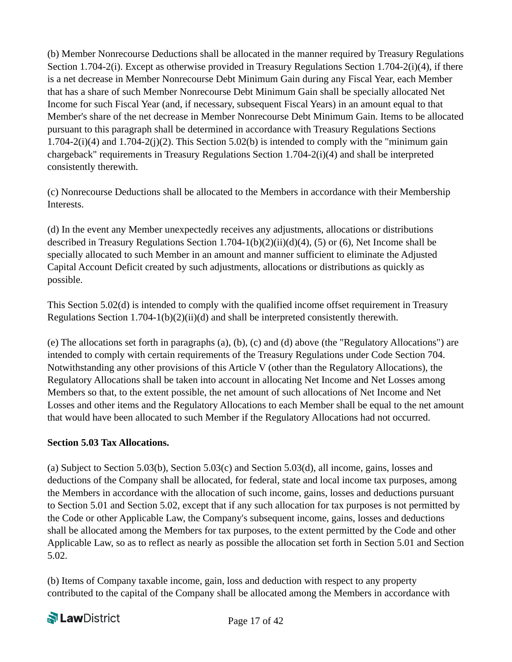(b) Member Nonrecourse Deductions shall be allocated in the manner required by Treasury Regulations Section 1.704-2(i). Except as otherwise provided in Treasury Regulations Section 1.704-2(i)(4), if there is a net decrease in Member Nonrecourse Debt Minimum Gain during any Fiscal Year, each Member that has a share of such Member Nonrecourse Debt Minimum Gain shall be specially allocated Net Income for such Fiscal Year (and, if necessary, subsequent Fiscal Years) in an amount equal to that Member's share of the net decrease in Member Nonrecourse Debt Minimum Gain. Items to be allocated pursuant to this paragraph shall be determined in accordance with Treasury Regulations Sections  $1.704-2(i)(4)$  and  $1.704-2(i)(2)$ . This Section 5.02(b) is intended to comply with the "minimum gain chargeback" requirements in Treasury Regulations Section 1.704-2(i)(4) and shall be interpreted consistently therewith.

(c) Nonrecourse Deductions shall be allocated to the Members in accordance with their Membership Interests.

(d) In the event any Member unexpectedly receives any adjustments, allocations or distributions described in Treasury Regulations Section 1.704-1(b)(2)(ii)(d)(4), (5) or (6), Net Income shall be specially allocated to such Member in an amount and manner sufficient to eliminate the Adjusted Capital Account Deficit created by such adjustments, allocations or distributions as quickly as possible.

This Section 5.02(d) is intended to comply with the qualified income offset requirement in Treasury Regulations Section 1.704-1(b)(2)(ii)(d) and shall be interpreted consistently therewith.

(e) The allocations set forth in paragraphs (a), (b), (c) and (d) above (the "Regulatory Allocations") are intended to comply with certain requirements of the Treasury Regulations under Code Section 704. Notwithstanding any other provisions of this Article V (other than the Regulatory Allocations), the Regulatory Allocations shall be taken into account in allocating Net Income and Net Losses among Members so that, to the extent possible, the net amount of such allocations of Net Income and Net Losses and other items and the Regulatory Allocations to each Member shall be equal to the net amount that would have been allocated to such Member if the Regulatory Allocations had not occurred.

#### **Section 5.03 Tax Allocations.**

(a) Subject to Section 5.03(b), Section 5.03(c) and Section 5.03(d), all income, gains, losses and deductions of the Company shall be allocated, for federal, state and local income tax purposes, among the Members in accordance with the allocation of such income, gains, losses and deductions pursuant to Section 5.01 and Section 5.02, except that if any such allocation for tax purposes is not permitted by the Code or other Applicable Law, the Company's subsequent income, gains, losses and deductions shall be allocated among the Members for tax purposes, to the extent permitted by the Code and other Applicable Law, so as to reflect as nearly as possible the allocation set forth in Section 5.01 and Section 5.02.

(b) Items of Company taxable income, gain, loss and deduction with respect to any property contributed to the capital of the Company shall be allocated among the Members in accordance with

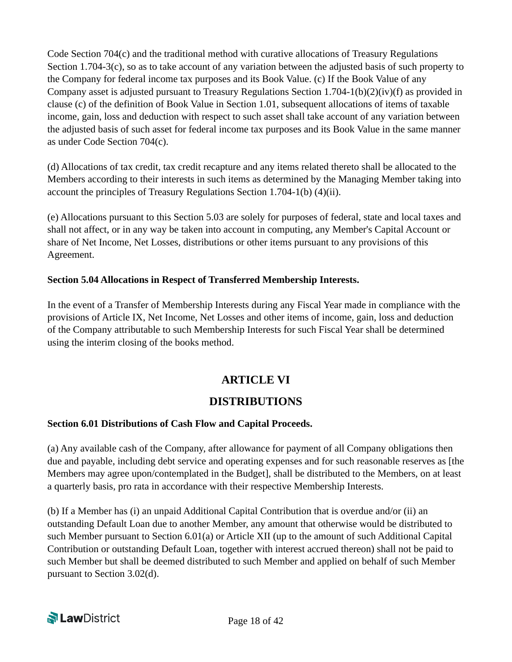Code Section 704(c) and the traditional method with curative allocations of Treasury Regulations Section 1.704-3(c), so as to take account of any variation between the adjusted basis of such property to the Company for federal income tax purposes and its Book Value. (c) If the Book Value of any Company asset is adjusted pursuant to Treasury Regulations Section 1.704-1(b)(2)(iv)(f) as provided in clause (c) of the definition of Book Value in Section 1.01, subsequent allocations of items of taxable income, gain, loss and deduction with respect to such asset shall take account of any variation between the adjusted basis of such asset for federal income tax purposes and its Book Value in the same manner as under Code Section 704(c).

(d) Allocations of tax credit, tax credit recapture and any items related thereto shall be allocated to the Members according to their interests in such items as determined by the Managing Member taking into account the principles of Treasury Regulations Section 1.704-1(b) (4)(ii).

(e) Allocations pursuant to this Section 5.03 are solely for purposes of federal, state and local taxes and shall not affect, or in any way be taken into account in computing, any Member's Capital Account or share of Net Income, Net Losses, distributions or other items pursuant to any provisions of this Agreement.

#### **Section 5.04 Allocations in Respect of Transferred Membership Interests.**

In the event of a Transfer of Membership Interests during any Fiscal Year made in compliance with the provisions of Article IX, Net Income, Net Losses and other items of income, gain, loss and deduction of the Company attributable to such Membership Interests for such Fiscal Year shall be determined using the interim closing of the books method.

## **ARTICLE VI**

### **DISTRIBUTIONS**

#### **Section 6.01 Distributions of Cash Flow and Capital Proceeds.**

(a) Any available cash of the Company, after allowance for payment of all Company obligations then due and payable, including debt service and operating expenses and for such reasonable reserves as [the Members may agree upon/contemplated in the Budget], shall be distributed to the Members, on at least a quarterly basis, pro rata in accordance with their respective Membership Interests.

(b) If a Member has (i) an unpaid Additional Capital Contribution that is overdue and/or (ii) an outstanding Default Loan due to another Member, any amount that otherwise would be distributed to such Member pursuant to Section 6.01(a) or Article XII (up to the amount of such Additional Capital Contribution or outstanding Default Loan, together with interest accrued thereon) shall not be paid to such Member but shall be deemed distributed to such Member and applied on behalf of such Member pursuant to Section 3.02(d).

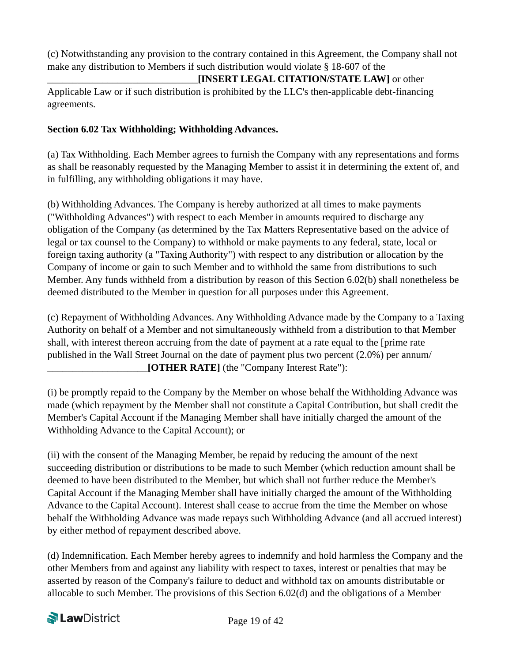(c) Notwithstanding any provision to the contrary contained in this Agreement, the Company shall not make any distribution to Members if such distribution would violate § 18-607 of the

\_\_\_\_\_\_\_\_\_\_\_\_\_\_\_\_\_\_\_\_\_\_\_\_\_\_\_\_\_\_**[INSERT LEGAL CITATION/STATE LAW]** or other Applicable Law or if such distribution is prohibited by the LLC's then-applicable debt-financing agreements.

#### **Section 6.02 Tax Withholding; Withholding Advances.**

(a) Tax Withholding. Each Member agrees to furnish the Company with any representations and forms as shall be reasonably requested by the Managing Member to assist it in determining the extent of, and in fulfilling, any withholding obligations it may have.

(b) Withholding Advances. The Company is hereby authorized at all times to make payments ("Withholding Advances") with respect to each Member in amounts required to discharge any obligation of the Company (as determined by the Tax Matters Representative based on the advice of legal or tax counsel to the Company) to withhold or make payments to any federal, state, local or foreign taxing authority (a "Taxing Authority") with respect to any distribution or allocation by the Company of income or gain to such Member and to withhold the same from distributions to such Member. Any funds withheld from a distribution by reason of this Section 6.02(b) shall nonetheless be deemed distributed to the Member in question for all purposes under this Agreement.

(c) Repayment of Withholding Advances. Any Withholding Advance made by the Company to a Taxing Authority on behalf of a Member and not simultaneously withheld from a distribution to that Member shall, with interest thereon accruing from the date of payment at a rate equal to the [prime rate published in the Wall Street Journal on the date of payment plus two percent (2.0%) per annum/ \_\_\_\_\_\_\_\_\_\_\_\_\_\_\_\_\_\_\_\_**[OTHER RATE]** (the "Company Interest Rate"):

(i) be promptly repaid to the Company by the Member on whose behalf the Withholding Advance was made (which repayment by the Member shall not constitute a Capital Contribution, but shall credit the Member's Capital Account if the Managing Member shall have initially charged the amount of the Withholding Advance to the Capital Account); or

(ii) with the consent of the Managing Member, be repaid by reducing the amount of the next succeeding distribution or distributions to be made to such Member (which reduction amount shall be deemed to have been distributed to the Member, but which shall not further reduce the Member's Capital Account if the Managing Member shall have initially charged the amount of the Withholding Advance to the Capital Account). Interest shall cease to accrue from the time the Member on whose behalf the Withholding Advance was made repays such Withholding Advance (and all accrued interest) by either method of repayment described above.

(d) Indemnification. Each Member hereby agrees to indemnify and hold harmless the Company and the other Members from and against any liability with respect to taxes, interest or penalties that may be asserted by reason of the Company's failure to deduct and withhold tax on amounts distributable or allocable to such Member. The provisions of this Section 6.02(d) and the obligations of a Member

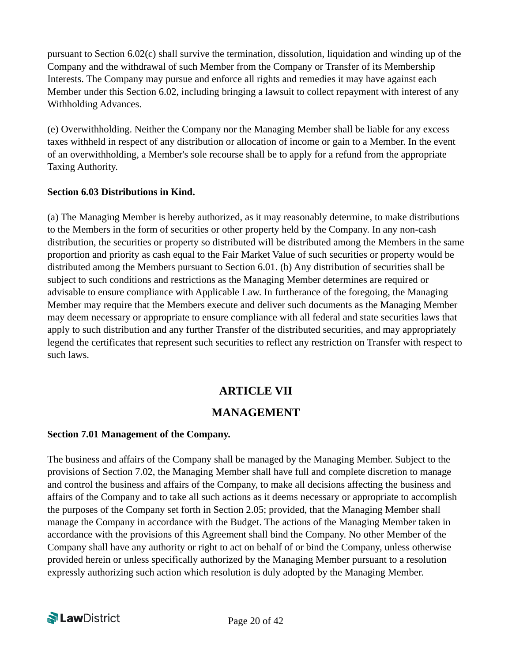pursuant to Section 6.02(c) shall survive the termination, dissolution, liquidation and winding up of the Company and the withdrawal of such Member from the Company or Transfer of its Membership Interests. The Company may pursue and enforce all rights and remedies it may have against each Member under this Section 6.02, including bringing a lawsuit to collect repayment with interest of any Withholding Advances.

(e) Overwithholding. Neither the Company nor the Managing Member shall be liable for any excess taxes withheld in respect of any distribution or allocation of income or gain to a Member. In the event of an overwithholding, a Member's sole recourse shall be to apply for a refund from the appropriate Taxing Authority.

#### **Section 6.03 Distributions in Kind.**

(a) The Managing Member is hereby authorized, as it may reasonably determine, to make distributions to the Members in the form of securities or other property held by the Company. In any non-cash distribution, the securities or property so distributed will be distributed among the Members in the same proportion and priority as cash equal to the Fair Market Value of such securities or property would be distributed among the Members pursuant to Section 6.01. (b) Any distribution of securities shall be subject to such conditions and restrictions as the Managing Member determines are required or advisable to ensure compliance with Applicable Law. In furtherance of the foregoing, the Managing Member may require that the Members execute and deliver such documents as the Managing Member may deem necessary or appropriate to ensure compliance with all federal and state securities laws that apply to such distribution and any further Transfer of the distributed securities, and may appropriately legend the certificates that represent such securities to reflect any restriction on Transfer with respect to such laws.

## **ARTICLE VII**

## **MANAGEMENT**

#### **Section 7.01 Management of the Company.**

The business and affairs of the Company shall be managed by the Managing Member. Subject to the provisions of Section 7.02, the Managing Member shall have full and complete discretion to manage and control the business and affairs of the Company, to make all decisions affecting the business and affairs of the Company and to take all such actions as it deems necessary or appropriate to accomplish the purposes of the Company set forth in Section 2.05; provided, that the Managing Member shall manage the Company in accordance with the Budget. The actions of the Managing Member taken in accordance with the provisions of this Agreement shall bind the Company. No other Member of the Company shall have any authority or right to act on behalf of or bind the Company, unless otherwise provided herein or unless specifically authorized by the Managing Member pursuant to a resolution expressly authorizing such action which resolution is duly adopted by the Managing Member.

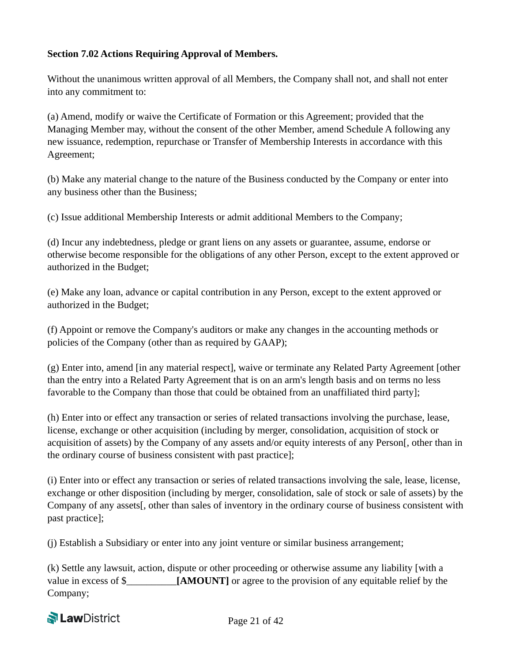#### **Section 7.02 Actions Requiring Approval of Members.**

Without the unanimous written approval of all Members, the Company shall not, and shall not enter into any commitment to:

(a) Amend, modify or waive the Certificate of Formation or this Agreement; provided that the Managing Member may, without the consent of the other Member, amend Schedule A following any new issuance, redemption, repurchase or Transfer of Membership Interests in accordance with this Agreement;

(b) Make any material change to the nature of the Business conducted by the Company or enter into any business other than the Business;

(c) Issue additional Membership Interests or admit additional Members to the Company;

(d) Incur any indebtedness, pledge or grant liens on any assets or guarantee, assume, endorse or otherwise become responsible for the obligations of any other Person, except to the extent approved or authorized in the Budget;

(e) Make any loan, advance or capital contribution in any Person, except to the extent approved or authorized in the Budget;

(f) Appoint or remove the Company's auditors or make any changes in the accounting methods or policies of the Company (other than as required by GAAP);

(g) Enter into, amend [in any material respect], waive or terminate any Related Party Agreement [other than the entry into a Related Party Agreement that is on an arm's length basis and on terms no less favorable to the Company than those that could be obtained from an unaffiliated third party];

(h) Enter into or effect any transaction or series of related transactions involving the purchase, lease, license, exchange or other acquisition (including by merger, consolidation, acquisition of stock or acquisition of assets) by the Company of any assets and/or equity interests of any Person[, other than in the ordinary course of business consistent with past practice];

(i) Enter into or effect any transaction or series of related transactions involving the sale, lease, license, exchange or other disposition (including by merger, consolidation, sale of stock or sale of assets) by the Company of any assets[, other than sales of inventory in the ordinary course of business consistent with past practice];

(j) Establish a Subsidiary or enter into any joint venture or similar business arrangement;

(k) Settle any lawsuit, action, dispute or other proceeding or otherwise assume any liability [with a value in excess of \$\_\_\_\_\_\_\_\_\_\_**[AMOUNT]** or agree to the provision of any equitable relief by the Company;

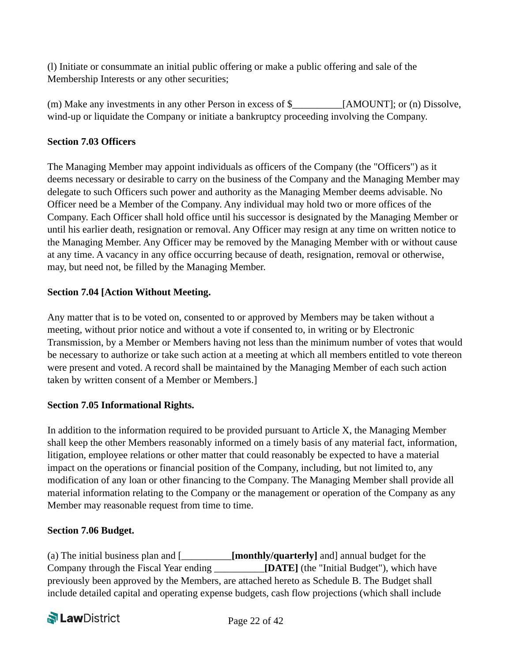(l) Initiate or consummate an initial public offering or make a public offering and sale of the Membership Interests or any other securities;

(m) Make any investments in any other Person in excess of \$ [AMOUNT]; or (n) Dissolve, wind-up or liquidate the Company or initiate a bankruptcy proceeding involving the Company.

#### **Section 7.03 Officers**

The Managing Member may appoint individuals as officers of the Company (the "Officers") as it deems necessary or desirable to carry on the business of the Company and the Managing Member may delegate to such Officers such power and authority as the Managing Member deems advisable. No Officer need be a Member of the Company. Any individual may hold two or more offices of the Company. Each Officer shall hold office until his successor is designated by the Managing Member or until his earlier death, resignation or removal. Any Officer may resign at any time on written notice to the Managing Member. Any Officer may be removed by the Managing Member with or without cause at any time. A vacancy in any office occurring because of death, resignation, removal or otherwise, may, but need not, be filled by the Managing Member.

#### **Section 7.04 [Action Without Meeting.**

Any matter that is to be voted on, consented to or approved by Members may be taken without a meeting, without prior notice and without a vote if consented to, in writing or by Electronic Transmission, by a Member or Members having not less than the minimum number of votes that would be necessary to authorize or take such action at a meeting at which all members entitled to vote thereon were present and voted. A record shall be maintained by the Managing Member of each such action taken by written consent of a Member or Members.

#### **Section 7.05 Informational Rights.**

In addition to the information required to be provided pursuant to Article X, the Managing Member shall keep the other Members reasonably informed on a timely basis of any material fact, information, litigation, employee relations or other matter that could reasonably be expected to have a material impact on the operations or financial position of the Company, including, but not limited to, any modification of any loan or other financing to the Company. The Managing Member shall provide all material information relating to the Company or the management or operation of the Company as any Member may reasonable request from time to time.

#### **Section 7.06 Budget.**

(a) The initial business plan and [\_\_\_\_\_\_\_\_\_\_**[monthly/quarterly]** and] annual budget for the Company through the Fiscal Year ending \_\_\_\_\_\_\_\_\_\_**[DATE]** (the "Initial Budget"), which have previously been approved by the Members, are attached hereto as Schedule B. The Budget shall include detailed capital and operating expense budgets, cash flow projections (which shall include

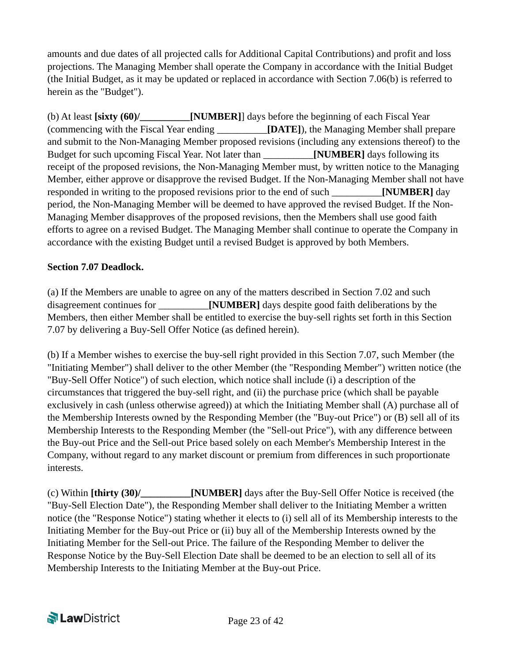amounts and due dates of all projected calls for Additional Capital Contributions) and profit and loss projections. The Managing Member shall operate the Company in accordance with the Initial Budget (the Initial Budget, as it may be updated or replaced in accordance with Section 7.06(b) is referred to herein as the "Budget").

(b) At least **[sixty (60)/\_\_\_\_\_\_\_\_\_\_[NUMBER]**] days before the beginning of each Fiscal Year (commencing with the Fiscal Year ending \_\_\_\_\_\_\_\_\_\_**[DATE]**), the Managing Member shall prepare and submit to the Non-Managing Member proposed revisions (including any extensions thereof) to the Budget for such upcoming Fiscal Year. Not later than \_\_\_\_\_\_\_\_\_\_**[NUMBER]** days following its receipt of the proposed revisions, the Non-Managing Member must, by written notice to the Managing Member, either approve or disapprove the revised Budget. If the Non-Managing Member shall not have responded in writing to the proposed revisions prior to the end of such \_\_\_\_\_\_\_\_\_\_**[NUMBER]** day period, the Non-Managing Member will be deemed to have approved the revised Budget. If the Non-Managing Member disapproves of the proposed revisions, then the Members shall use good faith efforts to agree on a revised Budget. The Managing Member shall continue to operate the Company in accordance with the existing Budget until a revised Budget is approved by both Members.

#### **Section 7.07 Deadlock.**

(a) If the Members are unable to agree on any of the matters described in Section 7.02 and such disagreement continues for **[NUMBER]** days despite good faith deliberations by the Members, then either Member shall be entitled to exercise the buy-sell rights set forth in this Section 7.07 by delivering a Buy-Sell Offer Notice (as defined herein).

(b) If a Member wishes to exercise the buy-sell right provided in this Section 7.07, such Member (the "Initiating Member") shall deliver to the other Member (the "Responding Member") written notice (the "Buy-Sell Offer Notice") of such election, which notice shall include (i) a description of the circumstances that triggered the buy-sell right, and (ii) the purchase price (which shall be payable exclusively in cash (unless otherwise agreed)) at which the Initiating Member shall (A) purchase all of the Membership Interests owned by the Responding Member (the "Buy-out Price") or (B) sell all of its Membership Interests to the Responding Member (the "Sell-out Price"), with any difference between the Buy-out Price and the Sell-out Price based solely on each Member's Membership Interest in the Company, without regard to any market discount or premium from differences in such proportionate interests.

(c) Within **[thirty (30)/\_\_\_\_\_\_\_\_\_\_[NUMBER]** days after the Buy-Sell Offer Notice is received (the "Buy-Sell Election Date"), the Responding Member shall deliver to the Initiating Member a written notice (the "Response Notice") stating whether it elects to (i) sell all of its Membership interests to the Initiating Member for the Buy-out Price or (ii) buy all of the Membership Interests owned by the Initiating Member for the Sell-out Price. The failure of the Responding Member to deliver the Response Notice by the Buy-Sell Election Date shall be deemed to be an election to sell all of its Membership Interests to the Initiating Member at the Buy-out Price.

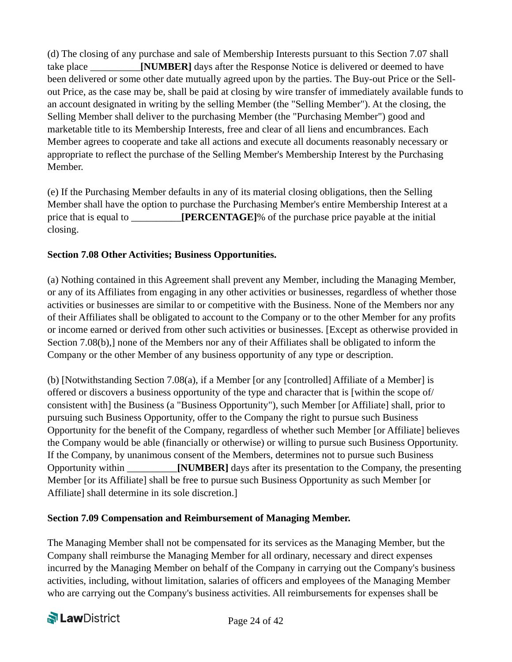(d) The closing of any purchase and sale of Membership Interests pursuant to this Section 7.07 shall take place **[NUMBER]** days after the Response Notice is delivered or deemed to have been delivered or some other date mutually agreed upon by the parties. The Buy-out Price or the Sellout Price, as the case may be, shall be paid at closing by wire transfer of immediately available funds to an account designated in writing by the selling Member (the "Selling Member"). At the closing, the Selling Member shall deliver to the purchasing Member (the "Purchasing Member") good and marketable title to its Membership Interests, free and clear of all liens and encumbrances. Each Member agrees to cooperate and take all actions and execute all documents reasonably necessary or appropriate to reflect the purchase of the Selling Member's Membership Interest by the Purchasing Member.

(e) If the Purchasing Member defaults in any of its material closing obligations, then the Selling Member shall have the option to purchase the Purchasing Member's entire Membership Interest at a price that is equal to **[PERCENTAGE**]% of the purchase price payable at the initial closing.

#### **Section 7.08 Other Activities; Business Opportunities.**

(a) Nothing contained in this Agreement shall prevent any Member, including the Managing Member, or any of its Affiliates from engaging in any other activities or businesses, regardless of whether those activities or businesses are similar to or competitive with the Business. None of the Members nor any of their Affiliates shall be obligated to account to the Company or to the other Member for any profits or income earned or derived from other such activities or businesses. [Except as otherwise provided in Section 7.08(b), none of the Members nor any of their Affiliates shall be obligated to inform the Company or the other Member of any business opportunity of any type or description.

(b) [Notwithstanding Section 7.08(a), if a Member [or any [controlled] Affiliate of a Member] is offered or discovers a business opportunity of the type and character that is [within the scope of/ consistent with] the Business (a "Business Opportunity"), such Member [or Affiliate] shall, prior to pursuing such Business Opportunity, offer to the Company the right to pursue such Business Opportunity for the benefit of the Company, regardless of whether such Member [or Affiliate] believes the Company would be able (financially or otherwise) or willing to pursue such Business Opportunity. If the Company, by unanimous consent of the Members, determines not to pursue such Business Opportunity within \_\_\_\_\_\_\_\_\_\_**[NUMBER]** days after its presentation to the Company, the presenting Member [or its Affiliate] shall be free to pursue such Business Opportunity as such Member [or Affiliate] shall determine in its sole discretion.]

#### **Section 7.09 Compensation and Reimbursement of Managing Member.**

The Managing Member shall not be compensated for its services as the Managing Member, but the Company shall reimburse the Managing Member for all ordinary, necessary and direct expenses incurred by the Managing Member on behalf of the Company in carrying out the Company's business activities, including, without limitation, salaries of officers and employees of the Managing Member who are carrying out the Company's business activities. All reimbursements for expenses shall be

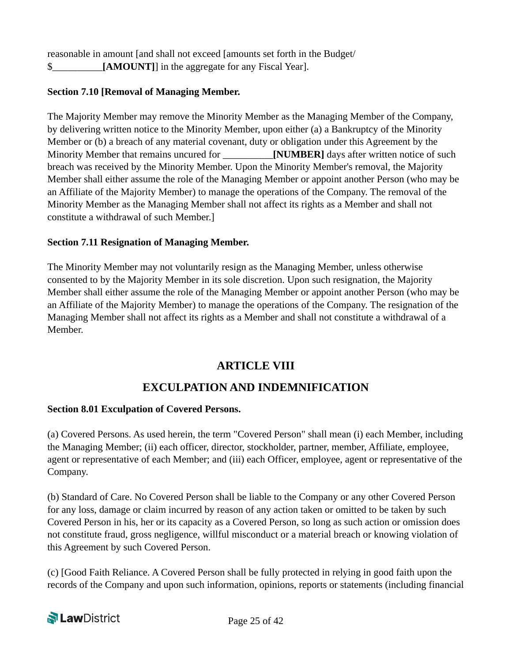reasonable in amount [and shall not exceed [amounts set forth in the Budget/ \$ **[AMOUNT]**] in the aggregate for any Fiscal Year].

#### **Section 7.10 [Removal of Managing Member.**

The Majority Member may remove the Minority Member as the Managing Member of the Company, by delivering written notice to the Minority Member, upon either (a) a Bankruptcy of the Minority Member or (b) a breach of any material covenant, duty or obligation under this Agreement by the Minority Member that remains uncured for *NUMBER* days after written notice of such breach was received by the Minority Member. Upon the Minority Member's removal, the Majority Member shall either assume the role of the Managing Member or appoint another Person (who may be an Affiliate of the Majority Member) to manage the operations of the Company. The removal of the Minority Member as the Managing Member shall not affect its rights as a Member and shall not constitute a withdrawal of such Member.]

#### **Section 7.11 Resignation of Managing Member.**

The Minority Member may not voluntarily resign as the Managing Member, unless otherwise consented to by the Majority Member in its sole discretion. Upon such resignation, the Majority Member shall either assume the role of the Managing Member or appoint another Person (who may be an Affiliate of the Majority Member) to manage the operations of the Company. The resignation of the Managing Member shall not affect its rights as a Member and shall not constitute a withdrawal of a Member.

### **ARTICLE VIII**

## **EXCULPATION AND INDEMNIFICATION**

#### **Section 8.01 Exculpation of Covered Persons.**

(a) Covered Persons. As used herein, the term "Covered Person" shall mean (i) each Member, including the Managing Member; (ii) each officer, director, stockholder, partner, member, Affiliate, employee, agent or representative of each Member; and (iii) each Officer, employee, agent or representative of the Company.

(b) Standard of Care. No Covered Person shall be liable to the Company or any other Covered Person for any loss, damage or claim incurred by reason of any action taken or omitted to be taken by such Covered Person in his, her or its capacity as a Covered Person, so long as such action or omission does not constitute fraud, gross negligence, willful misconduct or a material breach or knowing violation of this Agreement by such Covered Person.

(c) [Good Faith Reliance. A Covered Person shall be fully protected in relying in good faith upon the records of the Company and upon such information, opinions, reports or statements (including financial

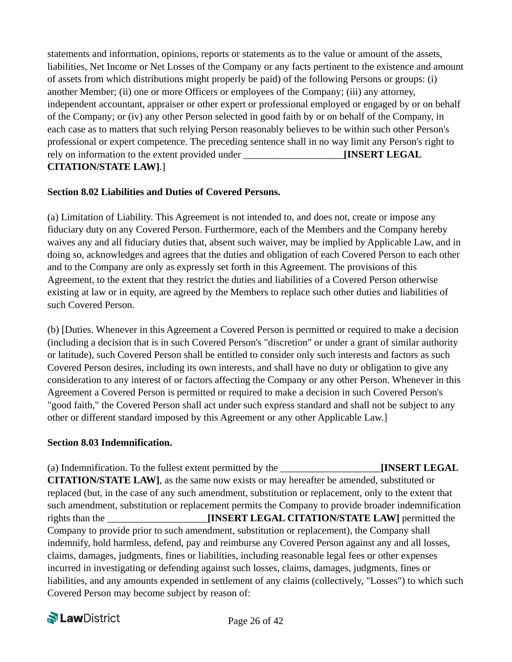statements and information, opinions, reports or statements as to the value or amount of the assets, liabilities, Net Income or Net Losses of the Company or any facts pertinent to the existence and amount of assets from which distributions might properly be paid) of the following Persons or groups: (i) another Member; (ii) one or more Officers or employees of the Company; (iii) any attorney, independent accountant, appraiser or other expert or professional employed or engaged by or on behalf of the Company; or (iv) any other Person selected in good faith by or on behalf of the Company, in each case as to matters that such relying Person reasonably believes to be within such other Person's professional or expert competence. The preceding sentence shall in no way limit any Person's right to rely on information to the extent provided under \_\_\_\_\_\_\_\_\_\_\_\_\_\_\_\_\_\_\_\_**[INSERT LEGAL CITATION/STATE LAW]**.]

#### **Section 8.02 Liabilities and Duties of Covered Persons.**

(a) Limitation of Liability. This Agreement is not intended to, and does not, create or impose any fiduciary duty on any Covered Person. Furthermore, each of the Members and the Company hereby waives any and all fiduciary duties that, absent such waiver, may be implied by Applicable Law, and in doing so, acknowledges and agrees that the duties and obligation of each Covered Person to each other and to the Company are only as expressly set forth in this Agreement. The provisions of this Agreement, to the extent that they restrict the duties and liabilities of a Covered Person otherwise existing at law or in equity, are agreed by the Members to replace such other duties and liabilities of such Covered Person.

(b) [Duties. Whenever in this Agreement a Covered Person is permitted or required to make a decision (including a decision that is in such Covered Person's "discretion" or under a grant of similar authority or latitude), such Covered Person shall be entitled to consider only such interests and factors as such Covered Person desires, including its own interests, and shall have no duty or obligation to give any consideration to any interest of or factors affecting the Company or any other Person. Whenever in this Agreement a Covered Person is permitted or required to make a decision in such Covered Person's "good faith," the Covered Person shall act under such express standard and shall not be subject to any other or different standard imposed by this Agreement or any other Applicable Law.]

#### **Section 8.03 Indemnification.**

(a) Indemnification. To the fullest extent permitted by the \_\_\_\_\_\_\_\_\_\_\_\_\_\_\_\_\_\_\_\_**[INSERT LEGAL CITATION/STATE LAW]**, as the same now exists or may hereafter be amended, substituted or replaced (but, in the case of any such amendment, substitution or replacement, only to the extent that such amendment, substitution or replacement permits the Company to provide broader indemnification rights than the \_\_\_\_\_\_\_\_\_\_\_\_\_\_\_\_\_\_\_\_**[INSERT LEGAL CITATION/STATE LAW]** permitted the Company to provide prior to such amendment, substitution or replacement), the Company shall indemnify, hold harmless, defend, pay and reimburse any Covered Person against any and all losses, claims, damages, judgments, fines or liabilities, including reasonable legal fees or other expenses incurred in investigating or defending against such losses, claims, damages, judgments, fines or liabilities, and any amounts expended in settlement of any claims (collectively, "Losses") to which such Covered Person may become subject by reason of:

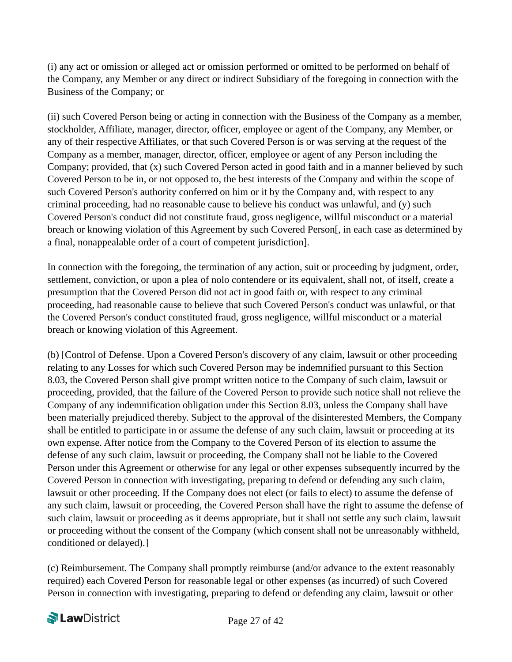(i) any act or omission or alleged act or omission performed or omitted to be performed on behalf of the Company, any Member or any direct or indirect Subsidiary of the foregoing in connection with the Business of the Company; or

(ii) such Covered Person being or acting in connection with the Business of the Company as a member, stockholder, Affiliate, manager, director, officer, employee or agent of the Company, any Member, or any of their respective Affiliates, or that such Covered Person is or was serving at the request of the Company as a member, manager, director, officer, employee or agent of any Person including the Company; provided, that (x) such Covered Person acted in good faith and in a manner believed by such Covered Person to be in, or not opposed to, the best interests of the Company and within the scope of such Covered Person's authority conferred on him or it by the Company and, with respect to any criminal proceeding, had no reasonable cause to believe his conduct was unlawful, and (y) such Covered Person's conduct did not constitute fraud, gross negligence, willful misconduct or a material breach or knowing violation of this Agreement by such Covered Person[, in each case as determined by a final, nonappealable order of a court of competent jurisdiction].

In connection with the foregoing, the termination of any action, suit or proceeding by judgment, order, settlement, conviction, or upon a plea of nolo contendere or its equivalent, shall not, of itself, create a presumption that the Covered Person did not act in good faith or, with respect to any criminal proceeding, had reasonable cause to believe that such Covered Person's conduct was unlawful, or that the Covered Person's conduct constituted fraud, gross negligence, willful misconduct or a material breach or knowing violation of this Agreement.

(b) [Control of Defense. Upon a Covered Person's discovery of any claim, lawsuit or other proceeding relating to any Losses for which such Covered Person may be indemnified pursuant to this Section 8.03, the Covered Person shall give prompt written notice to the Company of such claim, lawsuit or proceeding, provided, that the failure of the Covered Person to provide such notice shall not relieve the Company of any indemnification obligation under this Section 8.03, unless the Company shall have been materially prejudiced thereby. Subject to the approval of the disinterested Members, the Company shall be entitled to participate in or assume the defense of any such claim, lawsuit or proceeding at its own expense. After notice from the Company to the Covered Person of its election to assume the defense of any such claim, lawsuit or proceeding, the Company shall not be liable to the Covered Person under this Agreement or otherwise for any legal or other expenses subsequently incurred by the Covered Person in connection with investigating, preparing to defend or defending any such claim, lawsuit or other proceeding. If the Company does not elect (or fails to elect) to assume the defense of any such claim, lawsuit or proceeding, the Covered Person shall have the right to assume the defense of such claim, lawsuit or proceeding as it deems appropriate, but it shall not settle any such claim, lawsuit or proceeding without the consent of the Company (which consent shall not be unreasonably withheld, conditioned or delayed).]

(c) Reimbursement. The Company shall promptly reimburse (and/or advance to the extent reasonably required) each Covered Person for reasonable legal or other expenses (as incurred) of such Covered Person in connection with investigating, preparing to defend or defending any claim, lawsuit or other

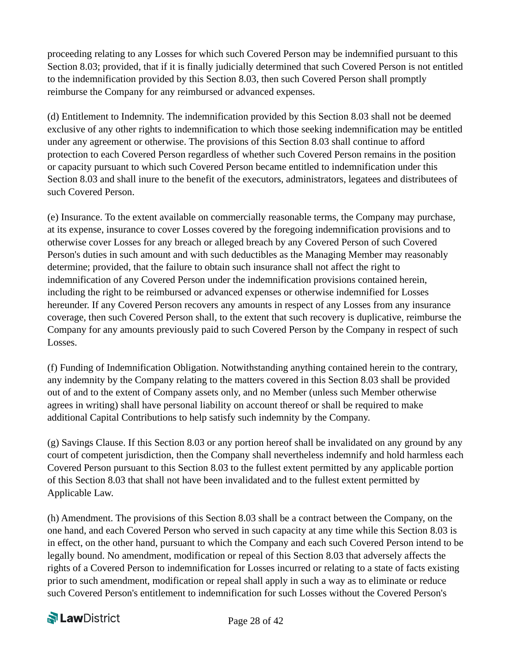proceeding relating to any Losses for which such Covered Person may be indemnified pursuant to this Section 8.03; provided, that if it is finally judicially determined that such Covered Person is not entitled to the indemnification provided by this Section 8.03, then such Covered Person shall promptly reimburse the Company for any reimbursed or advanced expenses.

(d) Entitlement to Indemnity. The indemnification provided by this Section 8.03 shall not be deemed exclusive of any other rights to indemnification to which those seeking indemnification may be entitled under any agreement or otherwise. The provisions of this Section 8.03 shall continue to afford protection to each Covered Person regardless of whether such Covered Person remains in the position or capacity pursuant to which such Covered Person became entitled to indemnification under this Section 8.03 and shall inure to the benefit of the executors, administrators, legatees and distributees of such Covered Person.

(e) Insurance. To the extent available on commercially reasonable terms, the Company may purchase, at its expense, insurance to cover Losses covered by the foregoing indemnification provisions and to otherwise cover Losses for any breach or alleged breach by any Covered Person of such Covered Person's duties in such amount and with such deductibles as the Managing Member may reasonably determine; provided, that the failure to obtain such insurance shall not affect the right to indemnification of any Covered Person under the indemnification provisions contained herein, including the right to be reimbursed or advanced expenses or otherwise indemnified for Losses hereunder. If any Covered Person recovers any amounts in respect of any Losses from any insurance coverage, then such Covered Person shall, to the extent that such recovery is duplicative, reimburse the Company for any amounts previously paid to such Covered Person by the Company in respect of such Losses.

(f) Funding of Indemnification Obligation. Notwithstanding anything contained herein to the contrary, any indemnity by the Company relating to the matters covered in this Section 8.03 shall be provided out of and to the extent of Company assets only, and no Member (unless such Member otherwise agrees in writing) shall have personal liability on account thereof or shall be required to make additional Capital Contributions to help satisfy such indemnity by the Company.

(g) Savings Clause. If this Section 8.03 or any portion hereof shall be invalidated on any ground by any court of competent jurisdiction, then the Company shall nevertheless indemnify and hold harmless each Covered Person pursuant to this Section 8.03 to the fullest extent permitted by any applicable portion of this Section 8.03 that shall not have been invalidated and to the fullest extent permitted by Applicable Law.

(h) Amendment. The provisions of this Section 8.03 shall be a contract between the Company, on the one hand, and each Covered Person who served in such capacity at any time while this Section 8.03 is in effect, on the other hand, pursuant to which the Company and each such Covered Person intend to be legally bound. No amendment, modification or repeal of this Section 8.03 that adversely affects the rights of a Covered Person to indemnification for Losses incurred or relating to a state of facts existing prior to such amendment, modification or repeal shall apply in such a way as to eliminate or reduce such Covered Person's entitlement to indemnification for such Losses without the Covered Person's

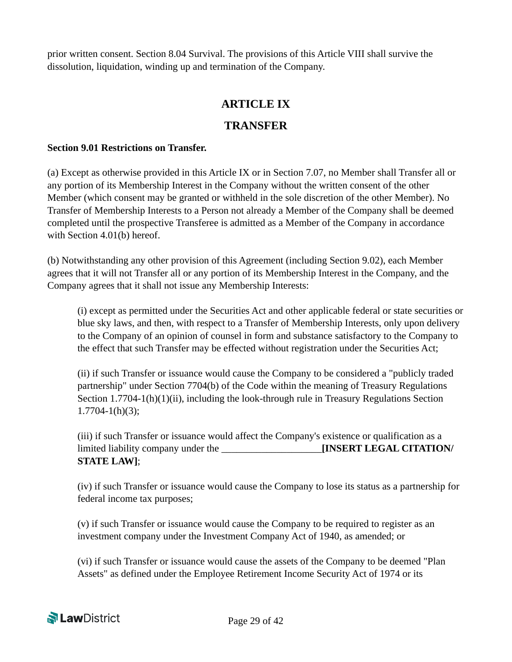prior written consent. Section 8.04 Survival. The provisions of this Article VIII shall survive the dissolution, liquidation, winding up and termination of the Company.

## **ARTICLE IX**

## **TRANSFER**

#### **Section 9.01 Restrictions on Transfer.**

(a) Except as otherwise provided in this Article IX or in Section 7.07, no Member shall Transfer all or any portion of its Membership Interest in the Company without the written consent of the other Member (which consent may be granted or withheld in the sole discretion of the other Member). No Transfer of Membership Interests to a Person not already a Member of the Company shall be deemed completed until the prospective Transferee is admitted as a Member of the Company in accordance with Section 4.01(b) hereof.

(b) Notwithstanding any other provision of this Agreement (including Section 9.02), each Member agrees that it will not Transfer all or any portion of its Membership Interest in the Company, and the Company agrees that it shall not issue any Membership Interests:

(i) except as permitted under the Securities Act and other applicable federal or state securities or blue sky laws, and then, with respect to a Transfer of Membership Interests, only upon delivery to the Company of an opinion of counsel in form and substance satisfactory to the Company to the effect that such Transfer may be effected without registration under the Securities Act;

(ii) if such Transfer or issuance would cause the Company to be considered a "publicly traded partnership" under Section 7704(b) of the Code within the meaning of Treasury Regulations Section 1.7704-1(h)(1)(ii), including the look-through rule in Treasury Regulations Section  $1.7704 - 1(h)(3)$ ;

(iii) if such Transfer or issuance would affect the Company's existence or qualification as a limited liability company under the \_\_\_\_\_\_\_\_\_\_\_\_\_\_\_\_\_\_\_\_**[INSERT LEGAL CITATION/ STATE LAW]**;

(iv) if such Transfer or issuance would cause the Company to lose its status as a partnership for federal income tax purposes;

(v) if such Transfer or issuance would cause the Company to be required to register as an investment company under the Investment Company Act of 1940, as amended; or

(vi) if such Transfer or issuance would cause the assets of the Company to be deemed "Plan Assets" as defined under the Employee Retirement Income Security Act of 1974 or its

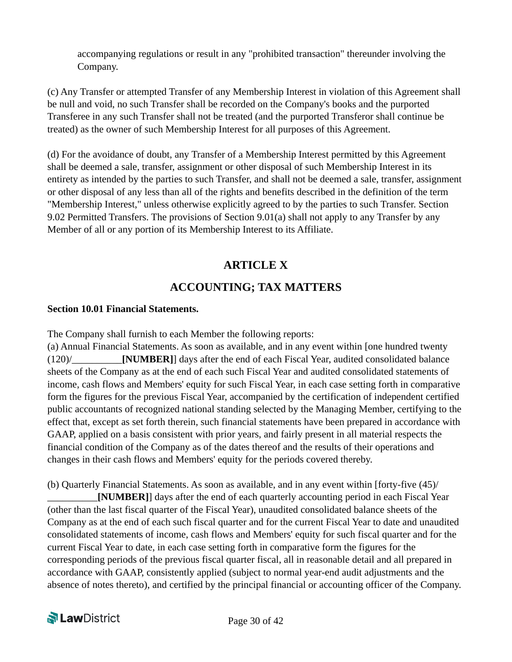accompanying regulations or result in any "prohibited transaction" thereunder involving the Company.

(c) Any Transfer or attempted Transfer of any Membership Interest in violation of this Agreement shall be null and void, no such Transfer shall be recorded on the Company's books and the purported Transferee in any such Transfer shall not be treated (and the purported Transferor shall continue be treated) as the owner of such Membership Interest for all purposes of this Agreement.

(d) For the avoidance of doubt, any Transfer of a Membership Interest permitted by this Agreement shall be deemed a sale, transfer, assignment or other disposal of such Membership Interest in its entirety as intended by the parties to such Transfer, and shall not be deemed a sale, transfer, assignment or other disposal of any less than all of the rights and benefits described in the definition of the term "Membership Interest," unless otherwise explicitly agreed to by the parties to such Transfer. Section 9.02 Permitted Transfers. The provisions of Section 9.01(a) shall not apply to any Transfer by any Member of all or any portion of its Membership Interest to its Affiliate.

## **ARTICLE X**

## **ACCOUNTING; TAX MATTERS**

#### **Section 10.01 Financial Statements.**

The Company shall furnish to each Member the following reports:

(a) Annual Financial Statements. As soon as available, and in any event within [one hundred twenty (120)/\_\_\_\_\_\_\_\_\_\_**[NUMBER]**] days after the end of each Fiscal Year, audited consolidated balance sheets of the Company as at the end of each such Fiscal Year and audited consolidated statements of income, cash flows and Members' equity for such Fiscal Year, in each case setting forth in comparative form the figures for the previous Fiscal Year, accompanied by the certification of independent certified public accountants of recognized national standing selected by the Managing Member, certifying to the effect that, except as set forth therein, such financial statements have been prepared in accordance with GAAP, applied on a basis consistent with prior years, and fairly present in all material respects the financial condition of the Company as of the dates thereof and the results of their operations and changes in their cash flows and Members' equity for the periods covered thereby.

(b) Quarterly Financial Statements. As soon as available, and in any event within [forty-five (45)/ **[NUMBER]**] days after the end of each quarterly accounting period in each Fiscal Year (other than the last fiscal quarter of the Fiscal Year), unaudited consolidated balance sheets of the Company as at the end of each such fiscal quarter and for the current Fiscal Year to date and unaudited consolidated statements of income, cash flows and Members' equity for such fiscal quarter and for the current Fiscal Year to date, in each case setting forth in comparative form the figures for the corresponding periods of the previous fiscal quarter fiscal, all in reasonable detail and all prepared in accordance with GAAP, consistently applied (subject to normal year-end audit adjustments and the absence of notes thereto), and certified by the principal financial or accounting officer of the Company.

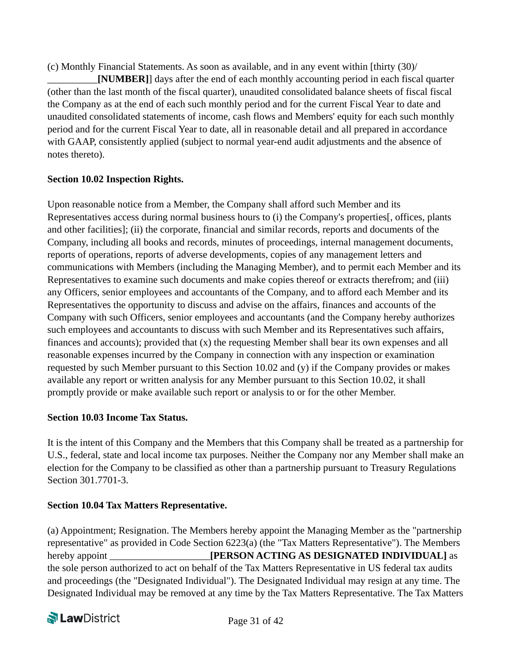(c) Monthly Financial Statements. As soon as available, and in any event within [thirty (30)/

\_\_\_\_\_\_\_\_\_\_**[NUMBER]**] days after the end of each monthly accounting period in each fiscal quarter (other than the last month of the fiscal quarter), unaudited consolidated balance sheets of fiscal fiscal the Company as at the end of each such monthly period and for the current Fiscal Year to date and unaudited consolidated statements of income, cash flows and Members' equity for each such monthly period and for the current Fiscal Year to date, all in reasonable detail and all prepared in accordance with GAAP, consistently applied (subject to normal year-end audit adjustments and the absence of notes thereto).

#### **Section 10.02 Inspection Rights.**

Upon reasonable notice from a Member, the Company shall afford such Member and its Representatives access during normal business hours to (i) the Company's properties[, offices, plants and other facilities]; (ii) the corporate, financial and similar records, reports and documents of the Company, including all books and records, minutes of proceedings, internal management documents, reports of operations, reports of adverse developments, copies of any management letters and communications with Members (including the Managing Member), and to permit each Member and its Representatives to examine such documents and make copies thereof or extracts therefrom; and (iii) any Officers, senior employees and accountants of the Company, and to afford each Member and its Representatives the opportunity to discuss and advise on the affairs, finances and accounts of the Company with such Officers, senior employees and accountants (and the Company hereby authorizes such employees and accountants to discuss with such Member and its Representatives such affairs, finances and accounts); provided that (x) the requesting Member shall bear its own expenses and all reasonable expenses incurred by the Company in connection with any inspection or examination requested by such Member pursuant to this Section 10.02 and (y) if the Company provides or makes available any report or written analysis for any Member pursuant to this Section 10.02, it shall promptly provide or make available such report or analysis to or for the other Member.

#### **Section 10.03 Income Tax Status.**

It is the intent of this Company and the Members that this Company shall be treated as a partnership for U.S., federal, state and local income tax purposes. Neither the Company nor any Member shall make an election for the Company to be classified as other than a partnership pursuant to Treasury Regulations Section 301.7701-3.

#### **Section 10.04 Tax Matters Representative.**

(a) Appointment; Resignation. The Members hereby appoint the Managing Member as the "partnership representative" as provided in Code Section 6223(a) (the "Tax Matters Representative"). The Members hereby appoint *IPERSON ACTING AS DESIGNATED INDIVIDUAL* as the sole person authorized to act on behalf of the Tax Matters Representative in US federal tax audits and proceedings (the "Designated Individual"). The Designated Individual may resign at any time. The Designated Individual may be removed at any time by the Tax Matters Representative. The Tax Matters

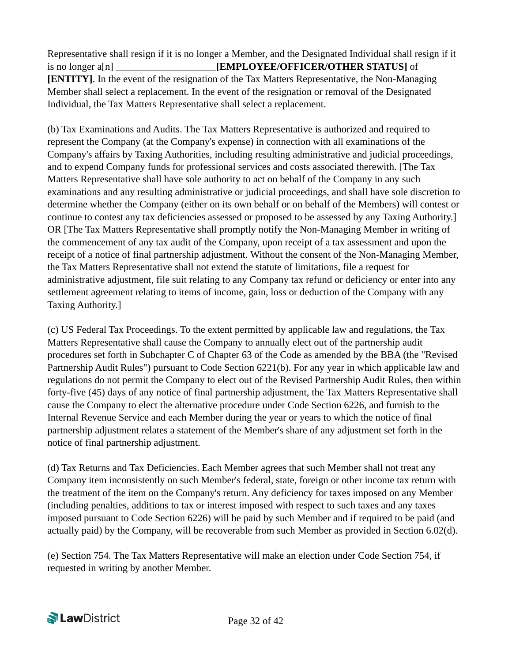Representative shall resign if it is no longer a Member, and the Designated Individual shall resign if it is no longer a<sup>[n]</sup> **EMPLOYEE/OFFICER/OTHER STATUS**] of **[ENTITY]**. In the event of the resignation of the Tax Matters Representative, the Non-Managing Member shall select a replacement. In the event of the resignation or removal of the Designated Individual, the Tax Matters Representative shall select a replacement.

(b) Tax Examinations and Audits. The Tax Matters Representative is authorized and required to represent the Company (at the Company's expense) in connection with all examinations of the Company's affairs by Taxing Authorities, including resulting administrative and judicial proceedings, and to expend Company funds for professional services and costs associated therewith. [The Tax Matters Representative shall have sole authority to act on behalf of the Company in any such examinations and any resulting administrative or judicial proceedings, and shall have sole discretion to determine whether the Company (either on its own behalf or on behalf of the Members) will contest or continue to contest any tax deficiencies assessed or proposed to be assessed by any Taxing Authority.] OR [The Tax Matters Representative shall promptly notify the Non-Managing Member in writing of the commencement of any tax audit of the Company, upon receipt of a tax assessment and upon the receipt of a notice of final partnership adjustment. Without the consent of the Non-Managing Member, the Tax Matters Representative shall not extend the statute of limitations, file a request for administrative adjustment, file suit relating to any Company tax refund or deficiency or enter into any settlement agreement relating to items of income, gain, loss or deduction of the Company with any Taxing Authority.]

(c) US Federal Tax Proceedings. To the extent permitted by applicable law and regulations, the Tax Matters Representative shall cause the Company to annually elect out of the partnership audit procedures set forth in Subchapter C of Chapter 63 of the Code as amended by the BBA (the "Revised Partnership Audit Rules") pursuant to Code Section 6221(b). For any year in which applicable law and regulations do not permit the Company to elect out of the Revised Partnership Audit Rules, then within forty-five (45) days of any notice of final partnership adjustment, the Tax Matters Representative shall cause the Company to elect the alternative procedure under Code Section 6226, and furnish to the Internal Revenue Service and each Member during the year or years to which the notice of final partnership adjustment relates a statement of the Member's share of any adjustment set forth in the notice of final partnership adjustment.

(d) Tax Returns and Tax Deficiencies. Each Member agrees that such Member shall not treat any Company item inconsistently on such Member's federal, state, foreign or other income tax return with the treatment of the item on the Company's return. Any deficiency for taxes imposed on any Member (including penalties, additions to tax or interest imposed with respect to such taxes and any taxes imposed pursuant to Code Section 6226) will be paid by such Member and if required to be paid (and actually paid) by the Company, will be recoverable from such Member as provided in Section 6.02(d).

(e) Section 754. The Tax Matters Representative will make an election under Code Section 754, if requested in writing by another Member.

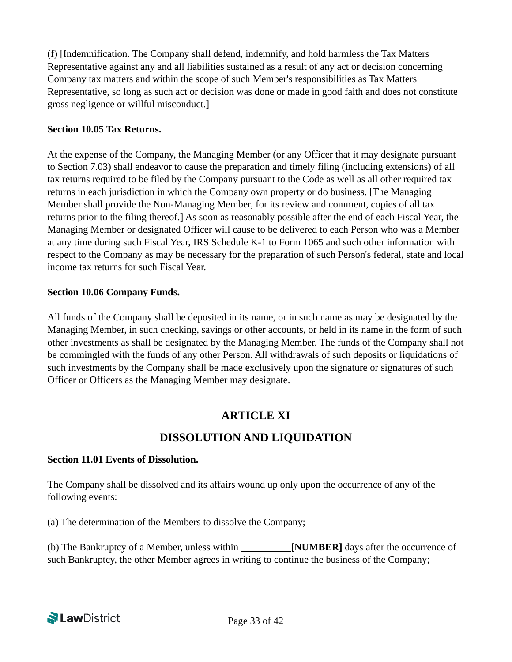(f) [Indemnification. The Company shall defend, indemnify, and hold harmless the Tax Matters Representative against any and all liabilities sustained as a result of any act or decision concerning Company tax matters and within the scope of such Member's responsibilities as Tax Matters Representative, so long as such act or decision was done or made in good faith and does not constitute gross negligence or willful misconduct.]

#### **Section 10.05 Tax Returns.**

At the expense of the Company, the Managing Member (or any Officer that it may designate pursuant to Section 7.03) shall endeavor to cause the preparation and timely filing (including extensions) of all tax returns required to be filed by the Company pursuant to the Code as well as all other required tax returns in each jurisdiction in which the Company own property or do business. [The Managing Member shall provide the Non-Managing Member, for its review and comment, copies of all tax returns prior to the filing thereof.] As soon as reasonably possible after the end of each Fiscal Year, the Managing Member or designated Officer will cause to be delivered to each Person who was a Member at any time during such Fiscal Year, IRS Schedule K-1 to Form 1065 and such other information with respect to the Company as may be necessary for the preparation of such Person's federal, state and local income tax returns for such Fiscal Year.

#### **Section 10.06 Company Funds.**

All funds of the Company shall be deposited in its name, or in such name as may be designated by the Managing Member, in such checking, savings or other accounts, or held in its name in the form of such other investments as shall be designated by the Managing Member. The funds of the Company shall not be commingled with the funds of any other Person. All withdrawals of such deposits or liquidations of such investments by the Company shall be made exclusively upon the signature or signatures of such Officer or Officers as the Managing Member may designate.

### **ARTICLE XI**

### **DISSOLUTION AND LIQUIDATION**

#### **Section 11.01 Events of Dissolution.**

The Company shall be dissolved and its affairs wound up only upon the occurrence of any of the following events:

(a) The determination of the Members to dissolve the Company;

(b) The Bankruptcy of a Member, unless within **\_\_\_\_\_\_\_\_\_\_[NUMBER]** days after the occurrence of such Bankruptcy, the other Member agrees in writing to continue the business of the Company;

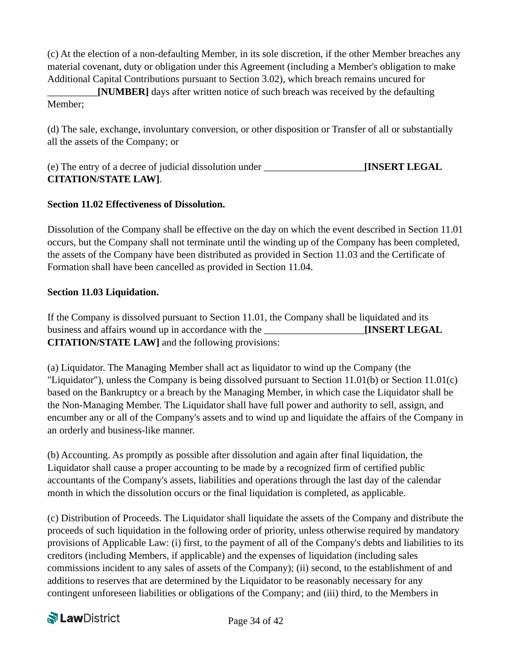(c) At the election of a non-defaulting Member, in its sole discretion, if the other Member breaches any material covenant, duty or obligation under this Agreement (including a Member's obligation to make Additional Capital Contributions pursuant to Section 3.02), which breach remains uncured for

\_\_\_\_\_\_\_\_\_\_**[NUMBER]** days after written notice of such breach was received by the defaulting Member;

(d) The sale, exchange, involuntary conversion, or other disposition or Transfer of all or substantially all the assets of the Company; or

| (e) The entry of a decree of judicial dissolution under | <b>INSERT LEGAL</b> |
|---------------------------------------------------------|---------------------|
| <b>CITATION/STATE LAW].</b>                             |                     |

#### **Section 11.02 Effectiveness of Dissolution.**

Dissolution of the Company shall be effective on the day on which the event described in Section 11.01 occurs, but the Company shall not terminate until the winding up of the Company has been completed, the assets of the Company have been distributed as provided in Section 11.03 and the Certificate of Formation shall have been cancelled as provided in Section 11.04.

#### **Section 11.03 Liquidation.**

If the Company is dissolved pursuant to Section 11.01, the Company shall be liquidated and its business and affairs wound up in accordance with the **INSERT LEGAL CITATION/STATE LAW]** and the following provisions:

(a) Liquidator. The Managing Member shall act as liquidator to wind up the Company (the "Liquidator"), unless the Company is being dissolved pursuant to Section 11.01(b) or Section 11.01(c) based on the Bankruptcy or a breach by the Managing Member, in which case the Liquidator shall be the Non-Managing Member. The Liquidator shall have full power and authority to sell, assign, and encumber any or all of the Company's assets and to wind up and liquidate the affairs of the Company in an orderly and business-like manner.

(b) Accounting. As promptly as possible after dissolution and again after final liquidation, the Liquidator shall cause a proper accounting to be made by a recognized firm of certified public accountants of the Company's assets, liabilities and operations through the last day of the calendar month in which the dissolution occurs or the final liquidation is completed, as applicable.

(c) Distribution of Proceeds. The Liquidator shall liquidate the assets of the Company and distribute the proceeds of such liquidation in the following order of priority, unless otherwise required by mandatory provisions of Applicable Law: (i) first, to the payment of all of the Company's debts and liabilities to its creditors (including Members, if applicable) and the expenses of liquidation (including sales commissions incident to any sales of assets of the Company); (ii) second, to the establishment of and additions to reserves that are determined by the Liquidator to be reasonably necessary for any contingent unforeseen liabilities or obligations of the Company; and (iii) third, to the Members in

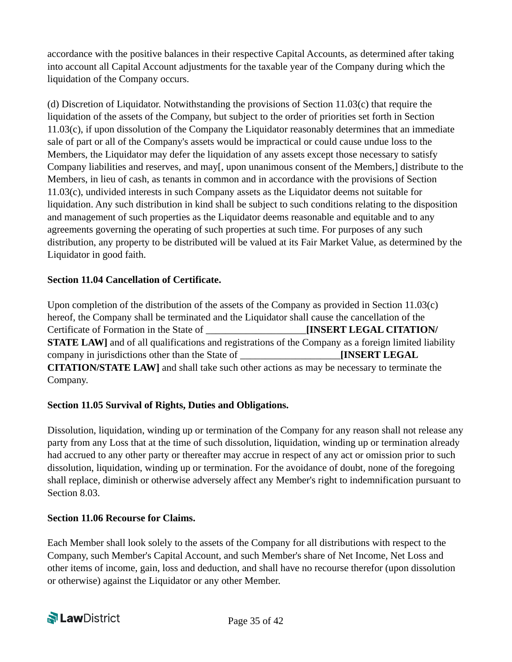accordance with the positive balances in their respective Capital Accounts, as determined after taking into account all Capital Account adjustments for the taxable year of the Company during which the liquidation of the Company occurs.

(d) Discretion of Liquidator. Notwithstanding the provisions of Section 11.03(c) that require the liquidation of the assets of the Company, but subject to the order of priorities set forth in Section 11.03(c), if upon dissolution of the Company the Liquidator reasonably determines that an immediate sale of part or all of the Company's assets would be impractical or could cause undue loss to the Members, the Liquidator may defer the liquidation of any assets except those necessary to satisfy Company liabilities and reserves, and may[, upon unanimous consent of the Members,] distribute to the Members, in lieu of cash, as tenants in common and in accordance with the provisions of Section 11.03(c), undivided interests in such Company assets as the Liquidator deems not suitable for liquidation. Any such distribution in kind shall be subject to such conditions relating to the disposition and management of such properties as the Liquidator deems reasonable and equitable and to any agreements governing the operating of such properties at such time. For purposes of any such distribution, any property to be distributed will be valued at its Fair Market Value, as determined by the Liquidator in good faith.

#### **Section 11.04 Cancellation of Certificate.**

Upon completion of the distribution of the assets of the Company as provided in Section 11.03(c) hereof, the Company shall be terminated and the Liquidator shall cause the cancellation of the Certificate of Formation in the State of \_\_\_\_\_\_\_\_\_\_\_\_\_\_\_\_\_\_\_\_**[INSERT LEGAL CITATION/ STATE LAW**] and of all qualifications and registrations of the Company as a foreign limited liability company in jurisdictions other than the State of \_\_\_\_\_\_\_\_\_\_\_\_\_\_\_\_\_\_\_\_**[INSERT LEGAL CITATION/STATE LAW]** and shall take such other actions as may be necessary to terminate the Company.

#### **Section 11.05 Survival of Rights, Duties and Obligations.**

Dissolution, liquidation, winding up or termination of the Company for any reason shall not release any party from any Loss that at the time of such dissolution, liquidation, winding up or termination already had accrued to any other party or thereafter may accrue in respect of any act or omission prior to such dissolution, liquidation, winding up or termination. For the avoidance of doubt, none of the foregoing shall replace, diminish or otherwise adversely affect any Member's right to indemnification pursuant to Section 8.03.

#### **Section 11.06 Recourse for Claims.**

Each Member shall look solely to the assets of the Company for all distributions with respect to the Company, such Member's Capital Account, and such Member's share of Net Income, Net Loss and other items of income, gain, loss and deduction, and shall have no recourse therefor (upon dissolution or otherwise) against the Liquidator or any other Member.

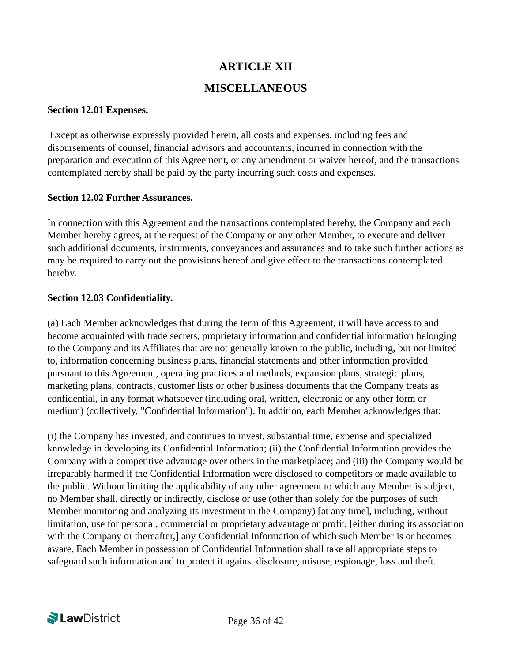## **ARTICLE XII**

## **MISCELLANEOUS**

#### **Section 12.01 Expenses.**

 Except as otherwise expressly provided herein, all costs and expenses, including fees and disbursements of counsel, financial advisors and accountants, incurred in connection with the preparation and execution of this Agreement, or any amendment or waiver hereof, and the transactions contemplated hereby shall be paid by the party incurring such costs and expenses.

#### **Section 12.02 Further Assurances.**

In connection with this Agreement and the transactions contemplated hereby, the Company and each Member hereby agrees, at the request of the Company or any other Member, to execute and deliver such additional documents, instruments, conveyances and assurances and to take such further actions as may be required to carry out the provisions hereof and give effect to the transactions contemplated hereby.

#### **Section 12.03 Confidentiality.**

(a) Each Member acknowledges that during the term of this Agreement, it will have access to and become acquainted with trade secrets, proprietary information and confidential information belonging to the Company and its Affiliates that are not generally known to the public, including, but not limited to, information concerning business plans, financial statements and other information provided pursuant to this Agreement, operating practices and methods, expansion plans, strategic plans, marketing plans, contracts, customer lists or other business documents that the Company treats as confidential, in any format whatsoever (including oral, written, electronic or any other form or medium) (collectively, "Confidential Information"). In addition, each Member acknowledges that:

(i) the Company has invested, and continues to invest, substantial time, expense and specialized knowledge in developing its Confidential Information; (ii) the Confidential Information provides the Company with a competitive advantage over others in the marketplace; and (iii) the Company would be irreparably harmed if the Confidential Information were disclosed to competitors or made available to the public. Without limiting the applicability of any other agreement to which any Member is subject, no Member shall, directly or indirectly, disclose or use (other than solely for the purposes of such Member monitoring and analyzing its investment in the Company) [at any time], including, without limitation, use for personal, commercial or proprietary advantage or profit, [either during its association with the Company or thereafter,] any Confidential Information of which such Member is or becomes aware. Each Member in possession of Confidential Information shall take all appropriate steps to safeguard such information and to protect it against disclosure, misuse, espionage, loss and theft.

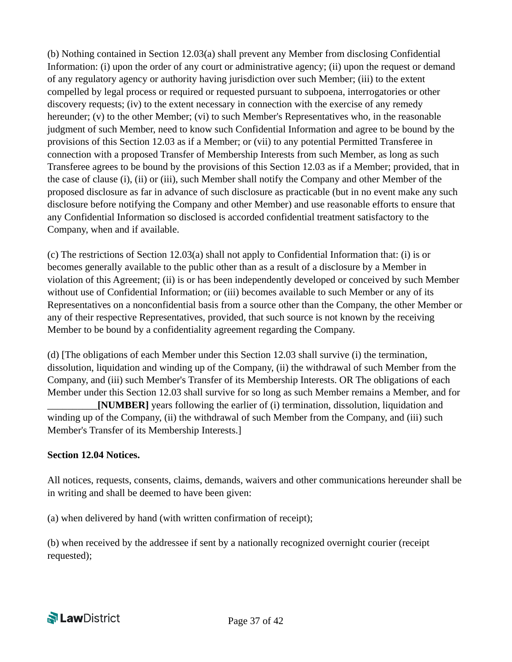(b) Nothing contained in Section 12.03(a) shall prevent any Member from disclosing Confidential Information: (i) upon the order of any court or administrative agency; (ii) upon the request or demand of any regulatory agency or authority having jurisdiction over such Member; (iii) to the extent compelled by legal process or required or requested pursuant to subpoena, interrogatories or other discovery requests; (iv) to the extent necessary in connection with the exercise of any remedy hereunder;  $(v)$  to the other Member;  $(vi)$  to such Member's Representatives who, in the reasonable judgment of such Member, need to know such Confidential Information and agree to be bound by the provisions of this Section 12.03 as if a Member; or (vii) to any potential Permitted Transferee in connection with a proposed Transfer of Membership Interests from such Member, as long as such Transferee agrees to be bound by the provisions of this Section 12.03 as if a Member; provided, that in the case of clause (i), (ii) or (iii), such Member shall notify the Company and other Member of the proposed disclosure as far in advance of such disclosure as practicable (but in no event make any such disclosure before notifying the Company and other Member) and use reasonable efforts to ensure that any Confidential Information so disclosed is accorded confidential treatment satisfactory to the Company, when and if available.

(c) The restrictions of Section 12.03(a) shall not apply to Confidential Information that: (i) is or becomes generally available to the public other than as a result of a disclosure by a Member in violation of this Agreement; (ii) is or has been independently developed or conceived by such Member without use of Confidential Information; or (iii) becomes available to such Member or any of its Representatives on a nonconfidential basis from a source other than the Company, the other Member or any of their respective Representatives, provided, that such source is not known by the receiving Member to be bound by a confidentiality agreement regarding the Company.

(d) [The obligations of each Member under this Section 12.03 shall survive (i) the termination, dissolution, liquidation and winding up of the Company, (ii) the withdrawal of such Member from the Company, and (iii) such Member's Transfer of its Membership Interests. OR The obligations of each Member under this Section 12.03 shall survive for so long as such Member remains a Member, and for \_\_\_\_\_\_\_\_\_\_**[NUMBER]** years following the earlier of (i) termination, dissolution, liquidation and winding up of the Company, (ii) the withdrawal of such Member from the Company, and (iii) such Member's Transfer of its Membership Interests.]

#### **Section 12.04 Notices.**

All notices, requests, consents, claims, demands, waivers and other communications hereunder shall be in writing and shall be deemed to have been given:

(a) when delivered by hand (with written confirmation of receipt);

(b) when received by the addressee if sent by a nationally recognized overnight courier (receipt requested);

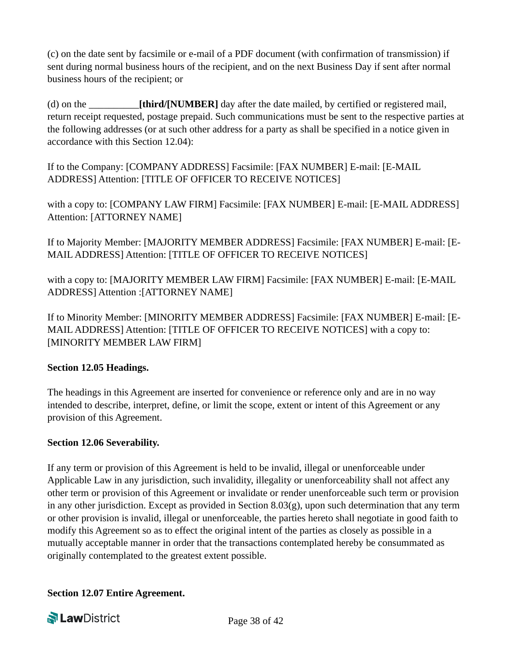(c) on the date sent by facsimile or e-mail of a PDF document (with confirmation of transmission) if sent during normal business hours of the recipient, and on the next Business Day if sent after normal business hours of the recipient; or

(d) on the \_\_\_\_\_\_\_\_\_\_**[third/[NUMBER]** day after the date mailed, by certified or registered mail, return receipt requested, postage prepaid. Such communications must be sent to the respective parties at the following addresses (or at such other address for a party as shall be specified in a notice given in accordance with this Section 12.04):

If to the Company: [COMPANY ADDRESS] Facsimile: [FAX NUMBER] E-mail: [E-MAIL ADDRESS] Attention: [TITLE OF OFFICER TO RECEIVE NOTICES]

with a copy to: [COMPANY LAW FIRM] Facsimile: [FAX NUMBER] E-mail: [E-MAIL ADDRESS] Attention: [ATTORNEY NAME]

If to Majority Member: [MAJORITY MEMBER ADDRESS] Facsimile: [FAX NUMBER] E-mail: [E-MAIL ADDRESS] Attention: [TITLE OF OFFICER TO RECEIVE NOTICES]

with a copy to: [MAJORITY MEMBER LAW FIRM] Facsimile: [FAX NUMBER] E-mail: [E-MAIL ADDRESS] Attention :[ATTORNEY NAME]

If to Minority Member: [MINORITY MEMBER ADDRESS] Facsimile: [FAX NUMBER] E-mail: [E-MAIL ADDRESS] Attention: [TITLE OF OFFICER TO RECEIVE NOTICES] with a copy to: [MINORITY MEMBER LAW FIRM]

#### **Section 12.05 Headings.**

The headings in this Agreement are inserted for convenience or reference only and are in no way intended to describe, interpret, define, or limit the scope, extent or intent of this Agreement or any provision of this Agreement.

#### **Section 12.06 Severability.**

If any term or provision of this Agreement is held to be invalid, illegal or unenforceable under Applicable Law in any jurisdiction, such invalidity, illegality or unenforceability shall not affect any other term or provision of this Agreement or invalidate or render unenforceable such term or provision in any other jurisdiction. Except as provided in Section 8.03(g), upon such determination that any term or other provision is invalid, illegal or unenforceable, the parties hereto shall negotiate in good faith to modify this Agreement so as to effect the original intent of the parties as closely as possible in a mutually acceptable manner in order that the transactions contemplated hereby be consummated as originally contemplated to the greatest extent possible.

**Section 12.07 Entire Agreement.**

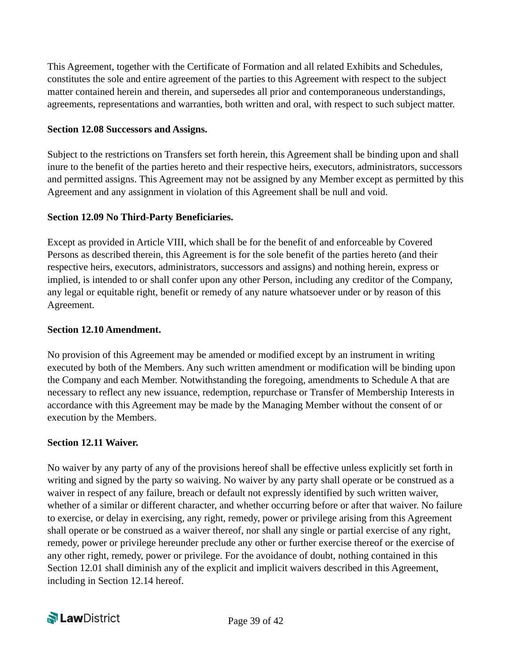This Agreement, together with the Certificate of Formation and all related Exhibits and Schedules, constitutes the sole and entire agreement of the parties to this Agreement with respect to the subject matter contained herein and therein, and supersedes all prior and contemporaneous understandings, agreements, representations and warranties, both written and oral, with respect to such subject matter.

#### **Section 12.08 Successors and Assigns.**

Subject to the restrictions on Transfers set forth herein, this Agreement shall be binding upon and shall inure to the benefit of the parties hereto and their respective heirs, executors, administrators, successors and permitted assigns. This Agreement may not be assigned by any Member except as permitted by this Agreement and any assignment in violation of this Agreement shall be null and void.

#### **Section 12.09 No Third-Party Beneficiaries.**

Except as provided in Article VIII, which shall be for the benefit of and enforceable by Covered Persons as described therein, this Agreement is for the sole benefit of the parties hereto (and their respective heirs, executors, administrators, successors and assigns) and nothing herein, express or implied, is intended to or shall confer upon any other Person, including any creditor of the Company, any legal or equitable right, benefit or remedy of any nature whatsoever under or by reason of this Agreement.

#### **Section 12.10 Amendment.**

No provision of this Agreement may be amended or modified except by an instrument in writing executed by both of the Members. Any such written amendment or modification will be binding upon the Company and each Member. Notwithstanding the foregoing, amendments to Schedule A that are necessary to reflect any new issuance, redemption, repurchase or Transfer of Membership Interests in accordance with this Agreement may be made by the Managing Member without the consent of or execution by the Members.

#### **Section 12.11 Waiver.**

No waiver by any party of any of the provisions hereof shall be effective unless explicitly set forth in writing and signed by the party so waiving. No waiver by any party shall operate or be construed as a waiver in respect of any failure, breach or default not expressly identified by such written waiver, whether of a similar or different character, and whether occurring before or after that waiver. No failure to exercise, or delay in exercising, any right, remedy, power or privilege arising from this Agreement shall operate or be construed as a waiver thereof, nor shall any single or partial exercise of any right, remedy, power or privilege hereunder preclude any other or further exercise thereof or the exercise of any other right, remedy, power or privilege. For the avoidance of doubt, nothing contained in this Section 12.01 shall diminish any of the explicit and implicit waivers described in this Agreement, including in Section 12.14 hereof.

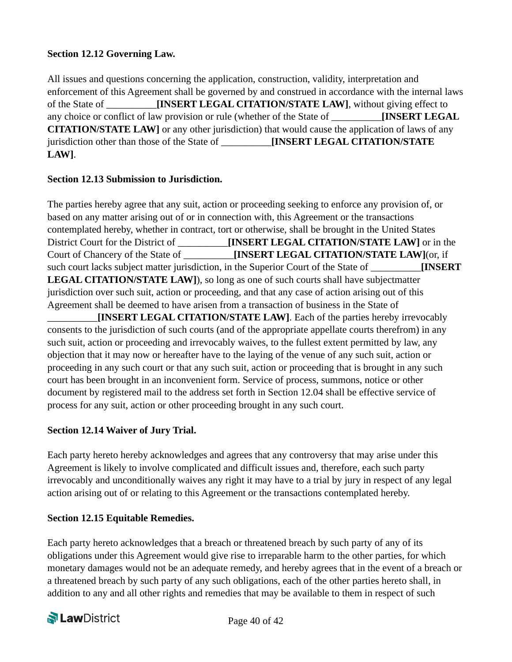#### **Section 12.12 Governing Law.**

All issues and questions concerning the application, construction, validity, interpretation and enforcement of this Agreement shall be governed by and construed in accordance with the internal laws of the State of **[INSERT LEGAL CITATION/STATE LAW]**, without giving effect to any choice or conflict of law provision or rule (whether of the State of **INSERT LEGAL CITATION/STATE LAW]** or any other jurisdiction) that would cause the application of laws of any jurisdiction other than those of the State of \_\_\_\_\_\_\_\_\_\_**[INSERT LEGAL CITATION/STATE LAW]**.

#### **Section 12.13 Submission to Jurisdiction.**

The parties hereby agree that any suit, action or proceeding seeking to enforce any provision of, or based on any matter arising out of or in connection with, this Agreement or the transactions contemplated hereby, whether in contract, tort or otherwise, shall be brought in the United States District Court for the District of \_\_\_\_\_\_\_\_\_\_**[INSERT LEGAL CITATION/STATE LAW]** or in the Court of Chancery of the State of \_\_\_\_\_\_\_\_\_\_**[INSERT LEGAL CITATION/STATE LAW]**(or, if such court lacks subject matter jurisdiction, in the Superior Court of the State of **INSERT LEGAL CITATION/STATE LAW]**), so long as one of such courts shall have subjectmatter jurisdiction over such suit, action or proceeding, and that any case of action arising out of this Agreement shall be deemed to have arisen from a transaction of business in the State of \_\_\_\_\_\_\_\_\_\_**[INSERT LEGAL CITATION/STATE LAW]**. Each of the parties hereby irrevocably

consents to the jurisdiction of such courts (and of the appropriate appellate courts therefrom) in any such suit, action or proceeding and irrevocably waives, to the fullest extent permitted by law, any objection that it may now or hereafter have to the laying of the venue of any such suit, action or proceeding in any such court or that any such suit, action or proceeding that is brought in any such court has been brought in an inconvenient form. Service of process, summons, notice or other document by registered mail to the address set forth in Section 12.04 shall be effective service of process for any suit, action or other proceeding brought in any such court.

#### **Section 12.14 Waiver of Jury Trial.**

Each party hereto hereby acknowledges and agrees that any controversy that may arise under this Agreement is likely to involve complicated and difficult issues and, therefore, each such party irrevocably and unconditionally waives any right it may have to a trial by jury in respect of any legal action arising out of or relating to this Agreement or the transactions contemplated hereby.

#### **Section 12.15 Equitable Remedies.**

Each party hereto acknowledges that a breach or threatened breach by such party of any of its obligations under this Agreement would give rise to irreparable harm to the other parties, for which monetary damages would not be an adequate remedy, and hereby agrees that in the event of a breach or a threatened breach by such party of any such obligations, each of the other parties hereto shall, in addition to any and all other rights and remedies that may be available to them in respect of such

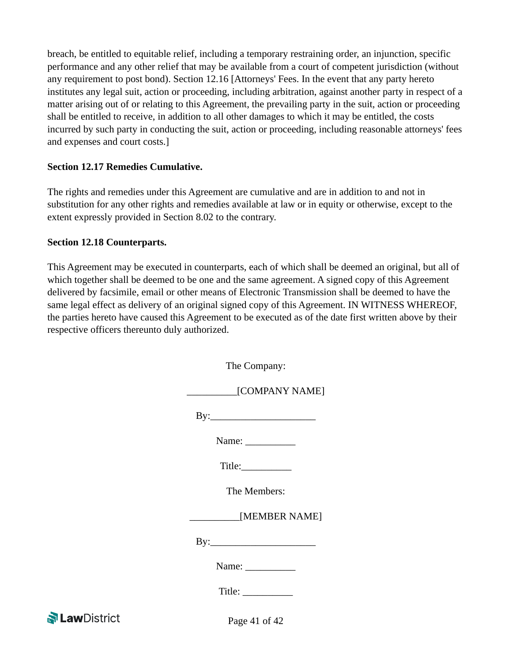breach, be entitled to equitable relief, including a temporary restraining order, an injunction, specific performance and any other relief that may be available from a court of competent jurisdiction (without any requirement to post bond). Section 12.16 [Attorneys' Fees. In the event that any party hereto institutes any legal suit, action or proceeding, including arbitration, against another party in respect of a matter arising out of or relating to this Agreement, the prevailing party in the suit, action or proceeding shall be entitled to receive, in addition to all other damages to which it may be entitled, the costs incurred by such party in conducting the suit, action or proceeding, including reasonable attorneys' fees and expenses and court costs.]

#### **Section 12.17 Remedies Cumulative.**

The rights and remedies under this Agreement are cumulative and are in addition to and not in substitution for any other rights and remedies available at law or in equity or otherwise, except to the extent expressly provided in Section 8.02 to the contrary.

#### **Section 12.18 Counterparts.**

This Agreement may be executed in counterparts, each of which shall be deemed an original, but all of which together shall be deemed to be one and the same agreement. A signed copy of this Agreement delivered by facsimile, email or other means of Electronic Transmission shall be deemed to have the same legal effect as delivery of an original signed copy of this Agreement. IN WITNESS WHEREOF, the parties hereto have caused this Agreement to be executed as of the date first written above by their respective officers thereunto duly authorized.

| The Company:                                                                                                                                                                                                                                                                                                                                                                                                             |
|--------------------------------------------------------------------------------------------------------------------------------------------------------------------------------------------------------------------------------------------------------------------------------------------------------------------------------------------------------------------------------------------------------------------------|
| [COMPANY NAME]                                                                                                                                                                                                                                                                                                                                                                                                           |
|                                                                                                                                                                                                                                                                                                                                                                                                                          |
| Name: $\frac{1}{\sqrt{1-\frac{1}{2}}}\frac{1}{\sqrt{1-\frac{1}{2}}}\frac{1}{\sqrt{1-\frac{1}{2}}}\frac{1}{\sqrt{1-\frac{1}{2}}}\frac{1}{\sqrt{1-\frac{1}{2}}}\frac{1}{\sqrt{1-\frac{1}{2}}}\frac{1}{\sqrt{1-\frac{1}{2}}}\frac{1}{\sqrt{1-\frac{1}{2}}}\frac{1}{\sqrt{1-\frac{1}{2}}}\frac{1}{\sqrt{1-\frac{1}{2}}}\frac{1}{\sqrt{1-\frac{1}{2}}}\frac{1}{\sqrt{1-\frac{1}{2}}}\frac{1}{\sqrt{1-\frac{1}{2}}}\frac{1}{\$ |
| Title:                                                                                                                                                                                                                                                                                                                                                                                                                   |
| The Members:                                                                                                                                                                                                                                                                                                                                                                                                             |
| [MEMBER NAME]                                                                                                                                                                                                                                                                                                                                                                                                            |
| $\mathbf{By:}\_\_\_\_\_\_\_\_$                                                                                                                                                                                                                                                                                                                                                                                           |
| Name: $\frac{1}{\sqrt{1-\frac{1}{2}}\cdot\frac{1}{\sqrt{1-\frac{1}{2}}}}$                                                                                                                                                                                                                                                                                                                                                |
|                                                                                                                                                                                                                                                                                                                                                                                                                          |
| $D_{\alpha\alpha\alpha}$ 41 of 42                                                                                                                                                                                                                                                                                                                                                                                        |